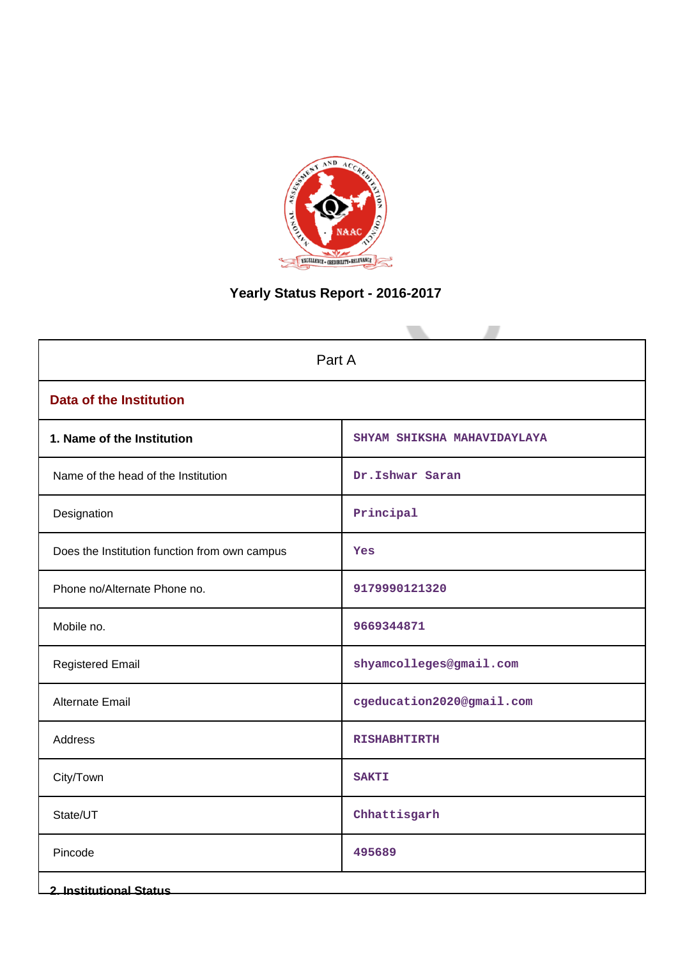

# **Yearly Status Report - 2016-2017**

| Part A                                        |                             |  |  |  |  |  |
|-----------------------------------------------|-----------------------------|--|--|--|--|--|
| <b>Data of the Institution</b>                |                             |  |  |  |  |  |
| 1. Name of the Institution                    | SHYAM SHIKSHA MAHAVIDAYLAYA |  |  |  |  |  |
| Name of the head of the Institution           | Dr.Ishwar Saran             |  |  |  |  |  |
| Designation                                   | Principal                   |  |  |  |  |  |
| Does the Institution function from own campus | Yes                         |  |  |  |  |  |
| Phone no/Alternate Phone no.                  | 9179990121320               |  |  |  |  |  |
| Mobile no.                                    | 9669344871                  |  |  |  |  |  |
| <b>Registered Email</b>                       | shyamcolleges@gmail.com     |  |  |  |  |  |
| <b>Alternate Email</b>                        | cgeducation2020@gmail.com   |  |  |  |  |  |
| Address                                       | <b>RISHABHTIRTH</b>         |  |  |  |  |  |
| City/Town                                     | <b>SAKTI</b>                |  |  |  |  |  |
| State/UT                                      | Chhattisgarh                |  |  |  |  |  |
| Pincode                                       | 495689                      |  |  |  |  |  |
| <b>2. Institutional Status</b>                |                             |  |  |  |  |  |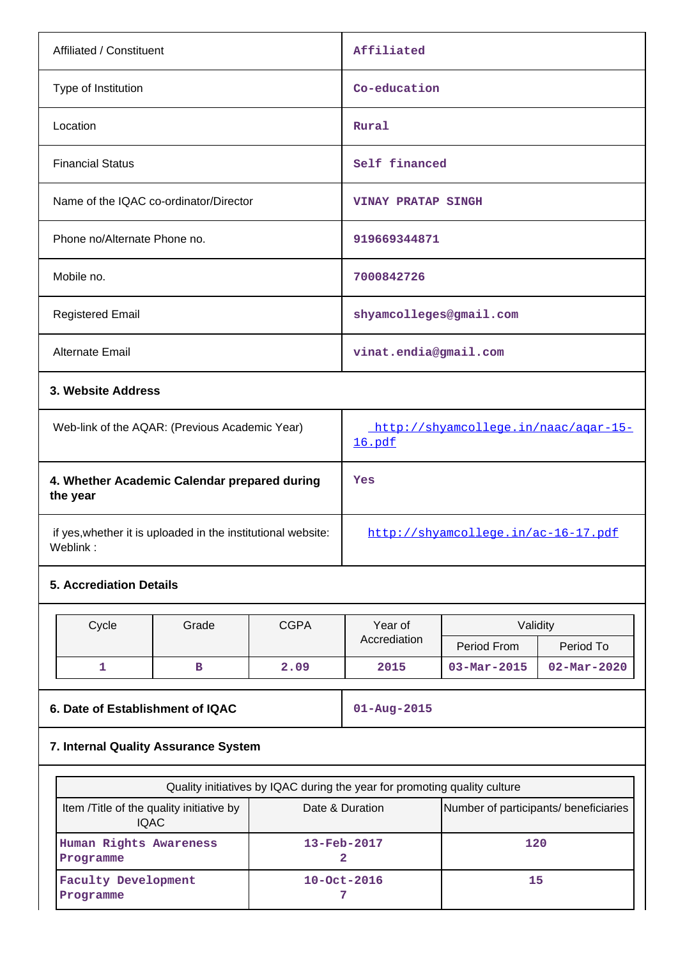| Affiliated / Constituent                                                 | Affiliated                                     |  |  |  |  |
|--------------------------------------------------------------------------|------------------------------------------------|--|--|--|--|
| Type of Institution                                                      | Co-education                                   |  |  |  |  |
| Location                                                                 | Rural                                          |  |  |  |  |
| <b>Financial Status</b>                                                  | Self financed                                  |  |  |  |  |
| Name of the IQAC co-ordinator/Director                                   | <b>VINAY PRATAP SINGH</b>                      |  |  |  |  |
| Phone no/Alternate Phone no.                                             | 919669344871                                   |  |  |  |  |
| Mobile no.                                                               | 7000842726                                     |  |  |  |  |
| <b>Registered Email</b>                                                  | shyamcolleges@gmail.com                        |  |  |  |  |
| <b>Alternate Email</b>                                                   | vinat.endia@gmail.com                          |  |  |  |  |
| 3. Website Address                                                       |                                                |  |  |  |  |
| Web-link of the AQAR: (Previous Academic Year)                           | http://shyamcollege.in/naac/agar-15-<br>16.pdf |  |  |  |  |
| 4. Whether Academic Calendar prepared during<br>the year                 | Yes                                            |  |  |  |  |
| if yes, whether it is uploaded in the institutional website:<br>Weblink: | http://shyamcollege.in/ac-16-17.pdf            |  |  |  |  |

# **5. Accrediation Details**

| Cycle | Grade | <b>CGPA</b> | Year of      | Validity                 |                          |
|-------|-------|-------------|--------------|--------------------------|--------------------------|
|       |       |             | Accrediation | Period From              | Period To                |
| --    |       | 2.09        | 2015         | $03 - \text{Mar} - 2015$ | $02 - \text{Mar} - 2020$ |

## **6. Date of Establishment of IQAC 01-Aug-2015**

# **7. Internal Quality Assurance System**

| Quality initiatives by IQAC during the year for promoting quality culture |                                       |     |  |  |  |  |  |  |
|---------------------------------------------------------------------------|---------------------------------------|-----|--|--|--|--|--|--|
| Item / Title of the quality initiative by<br><b>IQAC</b>                  | Number of participants/ beneficiaries |     |  |  |  |  |  |  |
| Human Rights Awareness<br>Programme                                       | $13 - \text{Feb} - 2017$              | 120 |  |  |  |  |  |  |
| <b>Faculty Development</b><br>Programme                                   | $10 - Oct - 2016$                     | 15  |  |  |  |  |  |  |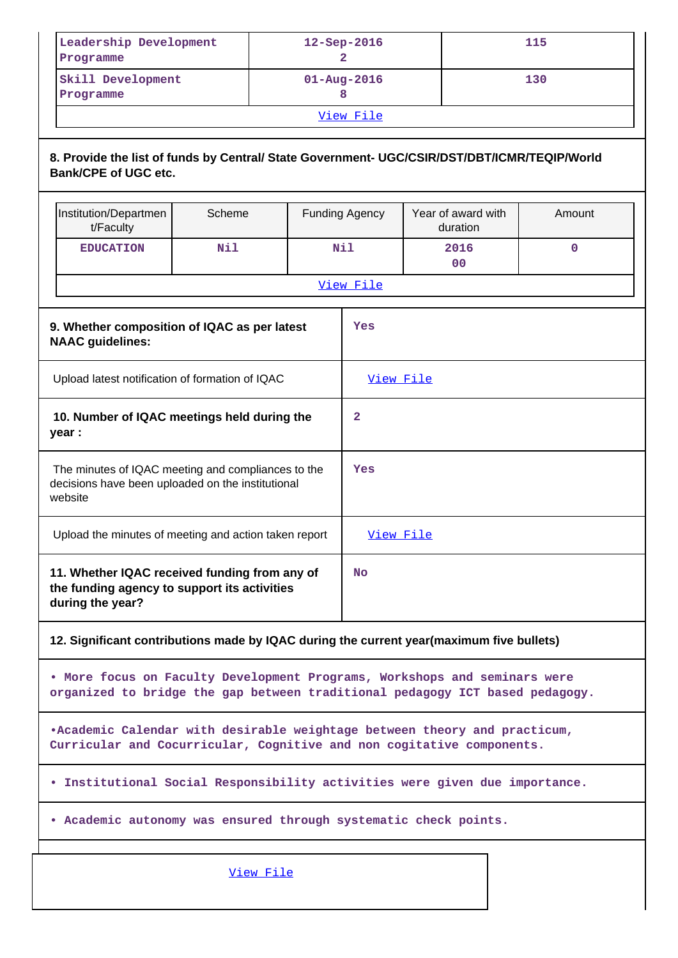| Leadership Development<br>Programme | $12 -$ Sep $-2016$       | 115 |  |  |  |
|-------------------------------------|--------------------------|-----|--|--|--|
| Skill Development<br>Programme      | $01 - \text{Aug} - 2016$ | 130 |  |  |  |
| View File                           |                          |     |  |  |  |

## **8. Provide the list of funds by Central/ State Government- UGC/CSIR/DST/DBT/ICMR/TEQIP/World Bank/CPE of UGC etc.**

|                                                                                                                    | Institution/Departmen<br>t/Faculty                                                                                                                 | Scheme |  | <b>Funding Agency</b> | Year of award with<br>duration                                                                                                                            | Amount |  |  |
|--------------------------------------------------------------------------------------------------------------------|----------------------------------------------------------------------------------------------------------------------------------------------------|--------|--|-----------------------|-----------------------------------------------------------------------------------------------------------------------------------------------------------|--------|--|--|
|                                                                                                                    | <b>EDUCATION</b>                                                                                                                                   | Nil    |  | Nil                   | 2016<br>0 <sup>0</sup>                                                                                                                                    | 0      |  |  |
|                                                                                                                    |                                                                                                                                                    |        |  | View File             |                                                                                                                                                           |        |  |  |
|                                                                                                                    | 9. Whether composition of IQAC as per latest<br><b>NAAC</b> guidelines:                                                                            |        |  | Yes                   |                                                                                                                                                           |        |  |  |
|                                                                                                                    | Upload latest notification of formation of IQAC                                                                                                    |        |  | View File             |                                                                                                                                                           |        |  |  |
|                                                                                                                    | 10. Number of IQAC meetings held during the<br>year :                                                                                              |        |  | 2                     |                                                                                                                                                           |        |  |  |
| The minutes of IQAC meeting and compliances to the<br>decisions have been uploaded on the institutional<br>website |                                                                                                                                                    |        |  | Yes                   |                                                                                                                                                           |        |  |  |
|                                                                                                                    | Upload the minutes of meeting and action taken report                                                                                              |        |  | View File             |                                                                                                                                                           |        |  |  |
|                                                                                                                    | 11. Whether IQAC received funding from any of<br>the funding agency to support its activities<br>during the year?                                  |        |  | <b>No</b>             |                                                                                                                                                           |        |  |  |
|                                                                                                                    |                                                                                                                                                    |        |  |                       | 12. Significant contributions made by IQAC during the current year(maximum five bullets)                                                                  |        |  |  |
|                                                                                                                    |                                                                                                                                                    |        |  |                       | . More focus on Faculty Development Programs, Workshops and seminars were<br>organized to bridge the gap between traditional pedagogy ICT based pedagogy. |        |  |  |
|                                                                                                                    | .Academic Calendar with desirable weightage between theory and practicum,<br>Curricular and Cocurricular, Cognitive and non cogitative components. |        |  |                       |                                                                                                                                                           |        |  |  |
| . Institutional Social Responsibility activities were given due importance.                                        |                                                                                                                                                    |        |  |                       |                                                                                                                                                           |        |  |  |
|                                                                                                                    | . Academic autonomy was ensured through systematic check points.                                                                                   |        |  |                       |                                                                                                                                                           |        |  |  |
|                                                                                                                    |                                                                                                                                                    |        |  |                       |                                                                                                                                                           |        |  |  |

View File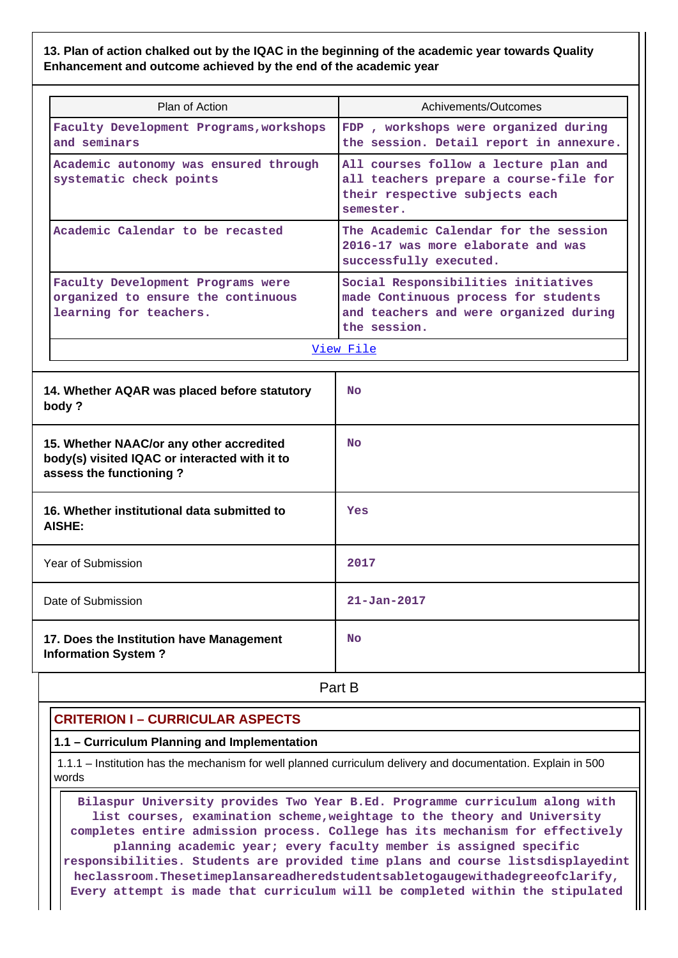## **13. Plan of action chalked out by the IQAC in the beginning of the academic year towards Quality Enhancement and outcome achieved by the end of the academic year**

| Plan of Action                                                                                                       | Achivements/Outcomes                                                                                                                                                                                              |  |  |  |  |  |
|----------------------------------------------------------------------------------------------------------------------|-------------------------------------------------------------------------------------------------------------------------------------------------------------------------------------------------------------------|--|--|--|--|--|
| Faculty Development Programs, workshops<br>and seminars                                                              | FDP, workshops were organized during<br>the session. Detail report in annexure.<br>All courses follow a lecture plan and<br>all teachers prepare a course-file for<br>their respective subjects each<br>semester. |  |  |  |  |  |
| Academic autonomy was ensured through<br>systematic check points                                                     |                                                                                                                                                                                                                   |  |  |  |  |  |
| Academic Calendar to be recasted                                                                                     | The Academic Calendar for the session<br>2016-17 was more elaborate and was<br>successfully executed.                                                                                                             |  |  |  |  |  |
| Faculty Development Programs were<br>organized to ensure the continuous<br>learning for teachers.                    | Social Responsibilities initiatives<br>made Continuous process for students<br>and teachers and were organized during<br>the session.                                                                             |  |  |  |  |  |
|                                                                                                                      | View File                                                                                                                                                                                                         |  |  |  |  |  |
| 14. Whether AQAR was placed before statutory<br>body?                                                                | <b>No</b>                                                                                                                                                                                                         |  |  |  |  |  |
| 15. Whether NAAC/or any other accredited<br>body(s) visited IQAC or interacted with it to<br>assess the functioning? | <b>No</b>                                                                                                                                                                                                         |  |  |  |  |  |
| 16. Whether institutional data submitted to<br>AISHE:                                                                | Yes                                                                                                                                                                                                               |  |  |  |  |  |
| Year of Submission                                                                                                   | 2017                                                                                                                                                                                                              |  |  |  |  |  |
| Date of Submission                                                                                                   | $21 - Jan - 2017$                                                                                                                                                                                                 |  |  |  |  |  |
| 17. Does the Institution have Management<br><b>Information System?</b>                                               | <b>No</b>                                                                                                                                                                                                         |  |  |  |  |  |
|                                                                                                                      | Part B                                                                                                                                                                                                            |  |  |  |  |  |

# **CRITERION I – CURRICULAR ASPECTS**

## **1.1 – Curriculum Planning and Implementation**

 1.1.1 – Institution has the mechanism for well planned curriculum delivery and documentation. Explain in 500 words

 **Bilaspur University provides Two Year B.Ed. Programme curriculum along with list courses, examination scheme,weightage to the theory and University completes entire admission process. College has its mechanism for effectively planning academic year; every faculty member is assigned specific responsibilities. Students are provided time plans and course listsdisplayedint heclassroom.Thesetimeplansareadheredstudentsabletogaugewithadegreeofclarify, Every attempt is made that curriculum will be completed within the stipulated**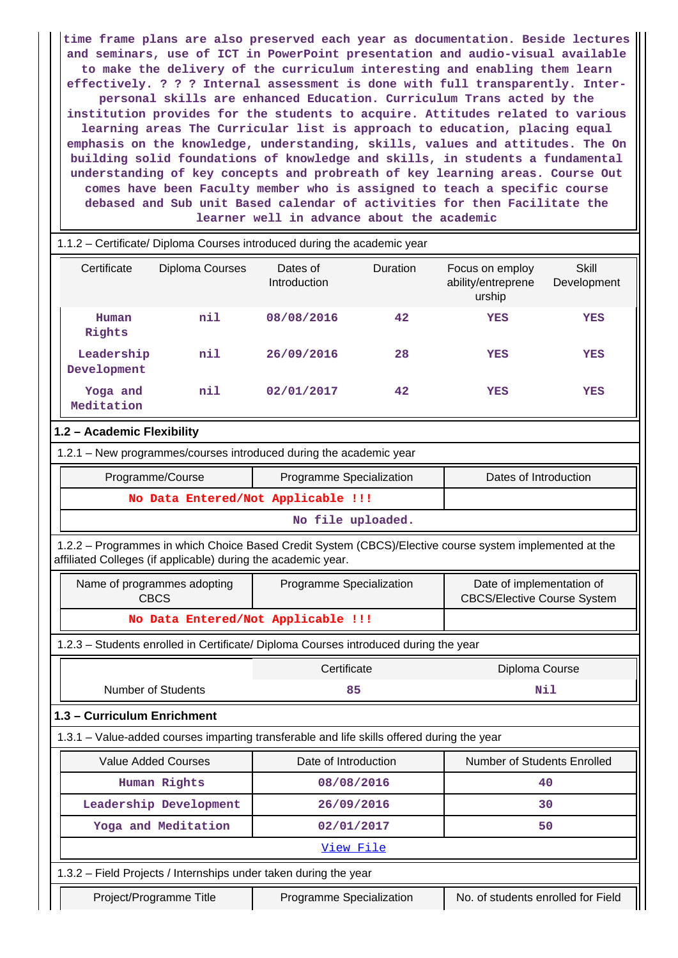**time frame plans are also preserved each year as documentation. Beside lectures and seminars, use of ICT in PowerPoint presentation and audio-visual available to make the delivery of the curriculum interesting and enabling them learn effectively. ? ? ? Internal assessment is done with full transparently. Interpersonal skills are enhanced Education. Curriculum Trans acted by the institution provides for the students to acquire. Attitudes related to various learning areas The Curricular list is approach to education, placing equal emphasis on the knowledge, understanding, skills, values and attitudes. The On building solid foundations of knowledge and skills, in students a fundamental understanding of key concepts and probreath of key learning areas. Course Out comes have been Faculty member who is assigned to teach a specific course debased and Sub unit Based calendar of activities for then Facilitate the learner well in advance about the academic**

| 1.1.2 - Certificate/ Diploma Courses introduced during the academic year |                                            |                                                                                            |                 |                                                                                                         |                             |  |  |  |
|--------------------------------------------------------------------------|--------------------------------------------|--------------------------------------------------------------------------------------------|-----------------|---------------------------------------------------------------------------------------------------------|-----------------------------|--|--|--|
| Certificate                                                              | Diploma Courses                            | Dates of<br>Introduction                                                                   | <b>Duration</b> | Focus on employ<br>ability/entreprene<br>urship                                                         | <b>Skill</b><br>Development |  |  |  |
| Human<br>Rights                                                          | nil                                        | 08/08/2016                                                                                 | 42              | <b>YES</b>                                                                                              | YES                         |  |  |  |
| Leadership<br>Development                                                | nil                                        | 26/09/2016                                                                                 | 28              | <b>YES</b>                                                                                              | YES                         |  |  |  |
| Yoga and<br>Meditation                                                   | nil                                        | 02/01/2017                                                                                 | 42              | YES                                                                                                     | YES                         |  |  |  |
| 1.2 - Academic Flexibility                                               |                                            |                                                                                            |                 |                                                                                                         |                             |  |  |  |
|                                                                          |                                            | 1.2.1 - New programmes/courses introduced during the academic year                         |                 |                                                                                                         |                             |  |  |  |
|                                                                          | Programme/Course                           | Programme Specialization                                                                   |                 | Dates of Introduction                                                                                   |                             |  |  |  |
|                                                                          |                                            | No Data Entered/Not Applicable !!!                                                         |                 |                                                                                                         |                             |  |  |  |
|                                                                          |                                            | No file uploaded.                                                                          |                 |                                                                                                         |                             |  |  |  |
| affiliated Colleges (if applicable) during the academic year.            |                                            |                                                                                            |                 | 1.2.2 - Programmes in which Choice Based Credit System (CBCS)/Elective course system implemented at the |                             |  |  |  |
|                                                                          | Name of programmes adopting<br><b>CBCS</b> | Programme Specialization                                                                   |                 | Date of implementation of<br><b>CBCS/Elective Course System</b>                                         |                             |  |  |  |
|                                                                          |                                            | No Data Entered/Not Applicable !!!                                                         |                 |                                                                                                         |                             |  |  |  |
|                                                                          |                                            | 1.2.3 - Students enrolled in Certificate/ Diploma Courses introduced during the year       |                 |                                                                                                         |                             |  |  |  |
|                                                                          |                                            | Certificate                                                                                |                 | Diploma Course                                                                                          |                             |  |  |  |
|                                                                          | <b>Number of Students</b>                  |                                                                                            | 85              |                                                                                                         |                             |  |  |  |
| 1.3 - Curriculum Enrichment                                              |                                            |                                                                                            |                 |                                                                                                         |                             |  |  |  |
|                                                                          |                                            | 1.3.1 - Value-added courses imparting transferable and life skills offered during the year |                 |                                                                                                         |                             |  |  |  |
|                                                                          | <b>Value Added Courses</b>                 | Date of Introduction                                                                       |                 | Number of Students Enrolled                                                                             |                             |  |  |  |
|                                                                          | Human Rights                               |                                                                                            | 40              |                                                                                                         |                             |  |  |  |
|                                                                          | Leadership Development                     | 26/09/2016                                                                                 |                 |                                                                                                         | 30                          |  |  |  |
|                                                                          | Yoga and Meditation                        | 02/01/2017                                                                                 |                 |                                                                                                         | 50                          |  |  |  |
|                                                                          | View File                                  |                                                                                            |                 |                                                                                                         |                             |  |  |  |
| 1.3.2 - Field Projects / Internships under taken during the year         |                                            |                                                                                            |                 |                                                                                                         |                             |  |  |  |
|                                                                          |                                            |                                                                                            |                 |                                                                                                         |                             |  |  |  |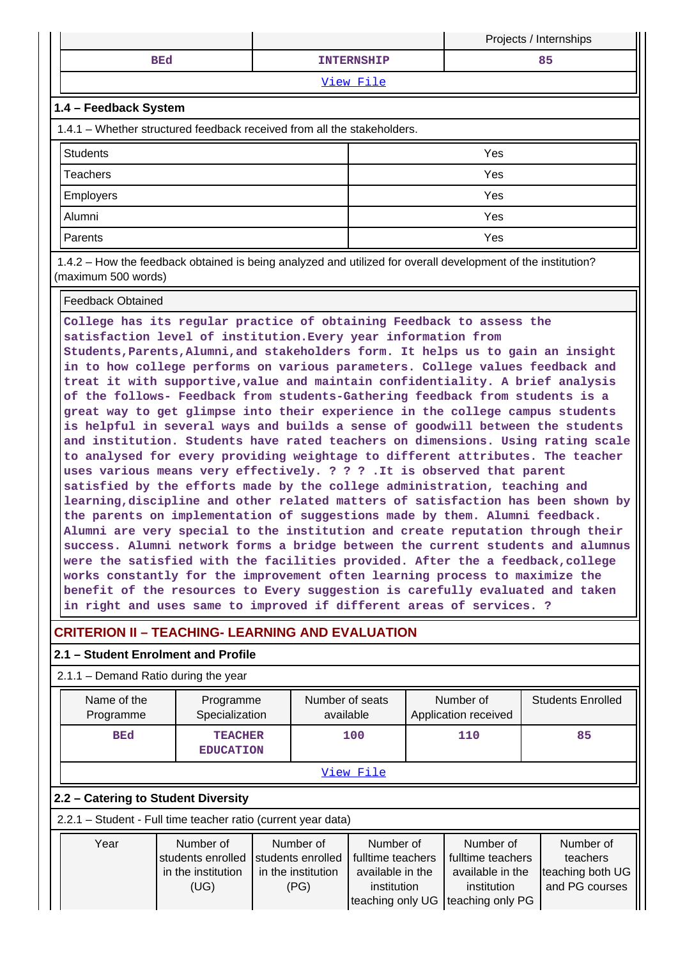|                        |                   | Projects / Internships |
|------------------------|-------------------|------------------------|
| <b>BEd</b>             | <b>INTERNSHIP</b> | 85                     |
|                        | View File         |                        |
| 11 A - Foodhack System |                   |                        |

## **1.4 – Feedback System**

1.4.1 – Whether structured feedback received from all the stakeholders.

| Students         | Yes |
|------------------|-----|
| Teachers         | Yes |
| <b>Employers</b> | Yes |
| Alumni           | Yes |
| Parents          | Yes |

 1.4.2 – How the feedback obtained is being analyzed and utilized for overall development of the institution? (maximum 500 words)

Feedback Obtained

**College has its regular practice of obtaining Feedback to assess the satisfaction level of institution.Every year information from Students,Parents,Alumni,and stakeholders form. It helps us to gain an insight in to how college performs on various parameters. College values feedback and treat it with supportive,value and maintain confidentiality. A brief analysis of the follows- Feedback from students-Gathering feedback from students is a great way to get glimpse into their experience in the college campus students is helpful in several ways and builds a sense of goodwill between the students and institution. Students have rated teachers on dimensions. Using rating scale to analysed for every providing weightage to different attributes. The teacher uses various means very effectively. ? ? ? .It is observed that parent satisfied by the efforts made by the college administration, teaching and learning,discipline and other related matters of satisfaction has been shown by the parents on implementation of suggestions made by them. Alumni feedback. Alumni are very special to the institution and create reputation through their success. Alumni network forms a bridge between the current students and alumnus were the satisfied with the facilities provided. After the a feedback,college works constantly for the improvement often learning process to maximize the benefit of the resources to Every suggestion is carefully evaluated and taken in right and uses same to improved if different areas of services. ?**

# **CRITERION II – TEACHING- LEARNING AND EVALUATION**

## **2.1 – Student Enrolment and Profile**

## 2.1.1 – Demand Ratio during the year

| Name of the<br>Programme                                                                                                                                                                                                                                                                                                                                                              | Programme<br>Specialization        |  | Number of seats<br>available |  | Number of<br>Application received | <b>Students Enrolled</b> |  |  |  |  |
|---------------------------------------------------------------------------------------------------------------------------------------------------------------------------------------------------------------------------------------------------------------------------------------------------------------------------------------------------------------------------------------|------------------------------------|--|------------------------------|--|-----------------------------------|--------------------------|--|--|--|--|
| <b>BEd</b>                                                                                                                                                                                                                                                                                                                                                                            | <b>TEACHER</b><br><b>EDUCATION</b> |  | 100                          |  | 110                               | 85                       |  |  |  |  |
|                                                                                                                                                                                                                                                                                                                                                                                       | <u>View File</u>                   |  |                              |  |                                   |                          |  |  |  |  |
| 2.2 - Catering to Student Diversity                                                                                                                                                                                                                                                                                                                                                   |                                    |  |                              |  |                                   |                          |  |  |  |  |
| 2.2.1 - Student - Full time teacher ratio (current year data)                                                                                                                                                                                                                                                                                                                         |                                    |  |                              |  |                                   |                          |  |  |  |  |
| Number of<br>Number of<br>Number of<br>Number of<br>Number of<br>Year<br>fulltime teachers<br>fulltime teachers<br>students enrolled<br>students enrolled<br>teachers<br>teaching both UG<br>in the institution<br>in the institution<br>available in the<br>available in the<br>and PG courses<br>(UG)<br>institution<br>institution<br>(PG)<br>teaching only PG<br>teaching only UG |                                    |  |                              |  |                                   |                          |  |  |  |  |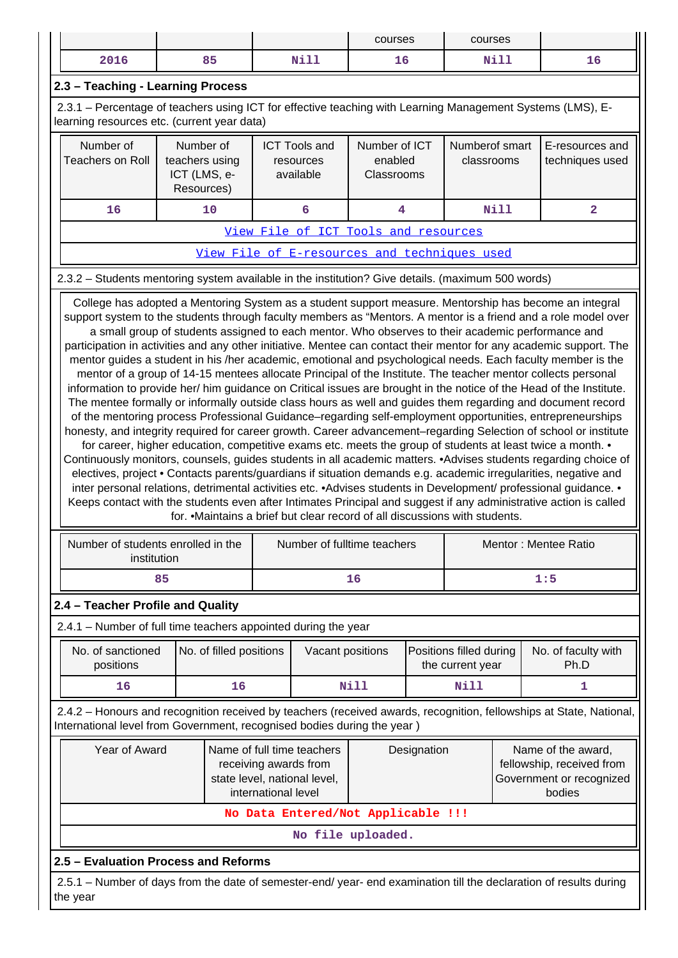| courses<br>courses                                                                                                                                                                                                                                                                                                                                                                                                                                                                                                                                                                                                                                                                                                                                                                                                                                                               |                                                           |                         |  |                                                                                                            |                                        |   |                                             |             |                                    |  |
|----------------------------------------------------------------------------------------------------------------------------------------------------------------------------------------------------------------------------------------------------------------------------------------------------------------------------------------------------------------------------------------------------------------------------------------------------------------------------------------------------------------------------------------------------------------------------------------------------------------------------------------------------------------------------------------------------------------------------------------------------------------------------------------------------------------------------------------------------------------------------------|-----------------------------------------------------------|-------------------------|--|------------------------------------------------------------------------------------------------------------|----------------------------------------|---|---------------------------------------------|-------------|------------------------------------|--|
| 2016                                                                                                                                                                                                                                                                                                                                                                                                                                                                                                                                                                                                                                                                                                                                                                                                                                                                             |                                                           | 85                      |  | Nill                                                                                                       | 16                                     |   |                                             | Nill        | 16                                 |  |
| 2.3 - Teaching - Learning Process                                                                                                                                                                                                                                                                                                                                                                                                                                                                                                                                                                                                                                                                                                                                                                                                                                                |                                                           |                         |  |                                                                                                            |                                        |   |                                             |             |                                    |  |
| 2.3.1 – Percentage of teachers using ICT for effective teaching with Learning Management Systems (LMS), E-<br>learning resources etc. (current year data)                                                                                                                                                                                                                                                                                                                                                                                                                                                                                                                                                                                                                                                                                                                        |                                                           |                         |  |                                                                                                            |                                        |   |                                             |             |                                    |  |
| Number of<br><b>Teachers on Roll</b>                                                                                                                                                                                                                                                                                                                                                                                                                                                                                                                                                                                                                                                                                                                                                                                                                                             | Number of<br>teachers using<br>ICT (LMS, e-<br>Resources) |                         |  | <b>ICT Tools and</b><br>resources<br>available                                                             | Number of ICT<br>enabled<br>Classrooms |   | Numberof smart<br>classrooms                |             | E-resources and<br>techniques used |  |
| 16<br>10<br>6                                                                                                                                                                                                                                                                                                                                                                                                                                                                                                                                                                                                                                                                                                                                                                                                                                                                    |                                                           |                         |  |                                                                                                            |                                        | 4 |                                             | <b>Nill</b> | $\overline{a}$                     |  |
| View File of ICT Tools and resources                                                                                                                                                                                                                                                                                                                                                                                                                                                                                                                                                                                                                                                                                                                                                                                                                                             |                                                           |                         |  |                                                                                                            |                                        |   |                                             |             |                                    |  |
|                                                                                                                                                                                                                                                                                                                                                                                                                                                                                                                                                                                                                                                                                                                                                                                                                                                                                  |                                                           |                         |  | View File of E-resources and techniques used                                                               |                                        |   |                                             |             |                                    |  |
| 2.3.2 – Students mentoring system available in the institution? Give details. (maximum 500 words)                                                                                                                                                                                                                                                                                                                                                                                                                                                                                                                                                                                                                                                                                                                                                                                |                                                           |                         |  |                                                                                                            |                                        |   |                                             |             |                                    |  |
| of the mentoring process Professional Guidance-regarding self-employment opportunities, entrepreneurships<br>honesty, and integrity required for career growth. Career advancement-regarding Selection of school or institute<br>for career, higher education, competitive exams etc. meets the group of students at least twice a month. •<br>Continuously monitors, counsels, guides students in all academic matters. •Advises students regarding choice of<br>electives, project • Contacts parents/guardians if situation demands e.g. academic irregularities, negative and<br>inter personal relations, detrimental activities etc. • Advises students in Development/ professional guidance. •<br>Keeps contact with the students even after Intimates Principal and suggest if any administrative action is called<br>Number of students enrolled in the<br>institution |                                                           |                         |  | for. • Maintains a brief but clear record of all discussions with students.<br>Number of fulltime teachers |                                        |   |                                             |             | Mentor: Mentee Ratio               |  |
|                                                                                                                                                                                                                                                                                                                                                                                                                                                                                                                                                                                                                                                                                                                                                                                                                                                                                  | 85                                                        |                         |  |                                                                                                            | 16                                     |   |                                             |             | 1:5                                |  |
| 2.4 - Teacher Profile and Quality                                                                                                                                                                                                                                                                                                                                                                                                                                                                                                                                                                                                                                                                                                                                                                                                                                                |                                                           |                         |  |                                                                                                            |                                        |   |                                             |             |                                    |  |
| 2.4.1 - Number of full time teachers appointed during the year                                                                                                                                                                                                                                                                                                                                                                                                                                                                                                                                                                                                                                                                                                                                                                                                                   |                                                           |                         |  |                                                                                                            |                                        |   |                                             |             |                                    |  |
| No. of sanctioned<br>positions                                                                                                                                                                                                                                                                                                                                                                                                                                                                                                                                                                                                                                                                                                                                                                                                                                                   |                                                           | No. of filled positions |  | Vacant positions                                                                                           |                                        |   | Positions filled during<br>the current year |             | No. of faculty with<br>Ph.D        |  |
| 16                                                                                                                                                                                                                                                                                                                                                                                                                                                                                                                                                                                                                                                                                                                                                                                                                                                                               |                                                           | 16                      |  |                                                                                                            | <b>Nill</b>                            |   | <b>Nill</b>                                 |             | 1                                  |  |
| 2.4.2 - Honours and recognition received by teachers (received awards, recognition, fellowships at State, National,<br>International level from Government, recognised bodies during the year)                                                                                                                                                                                                                                                                                                                                                                                                                                                                                                                                                                                                                                                                                   |                                                           |                         |  |                                                                                                            |                                        |   |                                             |             |                                    |  |
| Year of Award<br>Name of full time teachers<br>Name of the award,<br>Designation<br>fellowship, received from<br>receiving awards from<br>Government or recognized<br>state level, national level,<br>international level<br>bodies                                                                                                                                                                                                                                                                                                                                                                                                                                                                                                                                                                                                                                              |                                                           |                         |  |                                                                                                            |                                        |   |                                             |             |                                    |  |
|                                                                                                                                                                                                                                                                                                                                                                                                                                                                                                                                                                                                                                                                                                                                                                                                                                                                                  |                                                           |                         |  | No Data Entered/Not Applicable !!!                                                                         |                                        |   |                                             |             |                                    |  |
|                                                                                                                                                                                                                                                                                                                                                                                                                                                                                                                                                                                                                                                                                                                                                                                                                                                                                  |                                                           |                         |  | No file uploaded.                                                                                          |                                        |   |                                             |             |                                    |  |
| 2.5 - Evaluation Process and Reforms                                                                                                                                                                                                                                                                                                                                                                                                                                                                                                                                                                                                                                                                                                                                                                                                                                             |                                                           |                         |  |                                                                                                            |                                        |   |                                             |             |                                    |  |
| 2.5.1 – Number of days from the date of semester-end/ year- end examination till the declaration of results during<br>the year                                                                                                                                                                                                                                                                                                                                                                                                                                                                                                                                                                                                                                                                                                                                                   |                                                           |                         |  |                                                                                                            |                                        |   |                                             |             |                                    |  |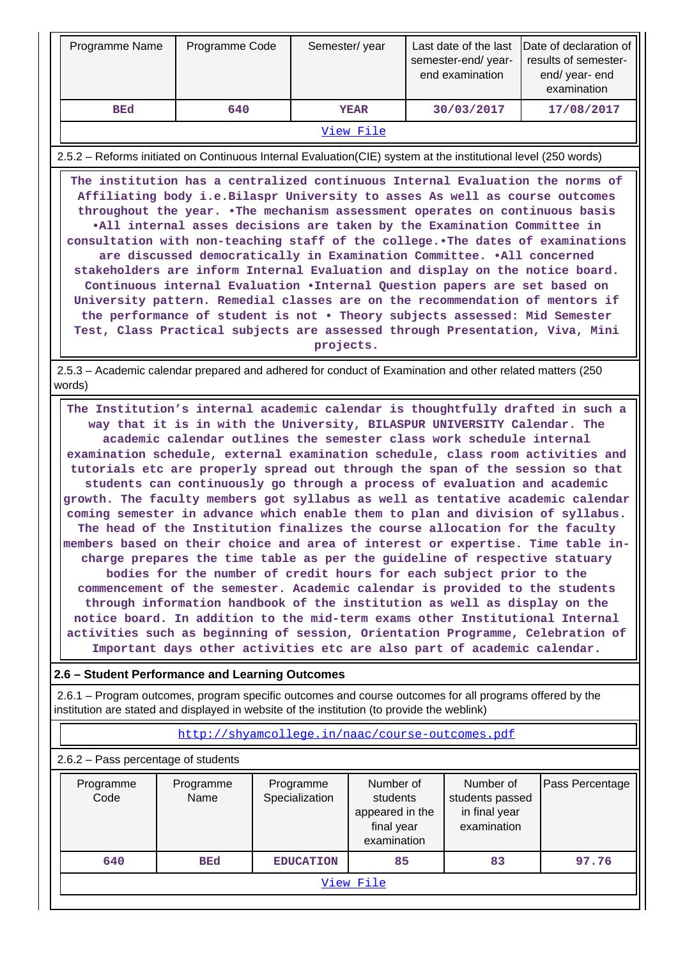| Programme Name                                                                                                                                                                                                                                                                                                                                                                                                                                                                                                                                                                                                                                                                                                                                                                                                                                                                                                                                                                                                                                                                                                                                                                                                                                                                                                                                                                                    | Programme Code                                  |                             | Semester/year                                                         |  | Last date of the last<br>semester-end/year-<br>end examination | Date of declaration of<br>results of semester-<br>end/ year- end<br>examination |  |  |  |  |
|---------------------------------------------------------------------------------------------------------------------------------------------------------------------------------------------------------------------------------------------------------------------------------------------------------------------------------------------------------------------------------------------------------------------------------------------------------------------------------------------------------------------------------------------------------------------------------------------------------------------------------------------------------------------------------------------------------------------------------------------------------------------------------------------------------------------------------------------------------------------------------------------------------------------------------------------------------------------------------------------------------------------------------------------------------------------------------------------------------------------------------------------------------------------------------------------------------------------------------------------------------------------------------------------------------------------------------------------------------------------------------------------------|-------------------------------------------------|-----------------------------|-----------------------------------------------------------------------|--|----------------------------------------------------------------|---------------------------------------------------------------------------------|--|--|--|--|
| <b>BEd</b>                                                                                                                                                                                                                                                                                                                                                                                                                                                                                                                                                                                                                                                                                                                                                                                                                                                                                                                                                                                                                                                                                                                                                                                                                                                                                                                                                                                        | 640                                             |                             | <b>YEAR</b>                                                           |  | 30/03/2017                                                     | 17/08/2017                                                                      |  |  |  |  |
|                                                                                                                                                                                                                                                                                                                                                                                                                                                                                                                                                                                                                                                                                                                                                                                                                                                                                                                                                                                                                                                                                                                                                                                                                                                                                                                                                                                                   |                                                 |                             | View File                                                             |  |                                                                |                                                                                 |  |  |  |  |
| 2.5.2 - Reforms initiated on Continuous Internal Evaluation(CIE) system at the institutional level (250 words)                                                                                                                                                                                                                                                                                                                                                                                                                                                                                                                                                                                                                                                                                                                                                                                                                                                                                                                                                                                                                                                                                                                                                                                                                                                                                    |                                                 |                             |                                                                       |  |                                                                |                                                                                 |  |  |  |  |
| The institution has a centralized continuous Internal Evaluation the norms of<br>Affiliating body i.e. Bilaspr University to asses As well as course outcomes<br>throughout the year. . The mechanism assessment operates on continuous basis<br>.All internal asses decisions are taken by the Examination Committee in<br>consultation with non-teaching staff of the college. The dates of examinations<br>are discussed democratically in Examination Committee. .All concerned<br>stakeholders are inform Internal Evaluation and display on the notice board.<br>Continuous internal Evaluation . Internal Question papers are set based on<br>University pattern. Remedial classes are on the recommendation of mentors if<br>the performance of student is not . Theory subjects assessed: Mid Semester<br>Test, Class Practical subjects are assessed through Presentation, Viva, Mini<br>projects.                                                                                                                                                                                                                                                                                                                                                                                                                                                                                      |                                                 |                             |                                                                       |  |                                                                |                                                                                 |  |  |  |  |
| 2.5.3 - Academic calendar prepared and adhered for conduct of Examination and other related matters (250)                                                                                                                                                                                                                                                                                                                                                                                                                                                                                                                                                                                                                                                                                                                                                                                                                                                                                                                                                                                                                                                                                                                                                                                                                                                                                         |                                                 |                             |                                                                       |  |                                                                |                                                                                 |  |  |  |  |
| words)<br>The Institution's internal academic calendar is thoughtfully drafted in such a<br>way that it is in with the University, BILASPUR UNIVERSITY Calendar. The<br>academic calendar outlines the semester class work schedule internal<br>examination schedule, external examination schedule, class room activities and<br>tutorials etc are properly spread out through the span of the session so that<br>students can continuously go through a process of evaluation and academic<br>growth. The faculty members got syllabus as well as tentative academic calendar<br>coming semester in advance which enable them to plan and division of syllabus.<br>The head of the Institution finalizes the course allocation for the faculty<br>members based on their choice and area of interest or expertise. Time table in-<br>charge prepares the time table as per the guideline of respective statuary<br>bodies for the number of credit hours for each subject prior to the<br>commencement of the semester. Academic calendar is provided to the students<br>through information handbook of the institution as well as display on the<br>notice board. In addition to the mid-term exams other Institutional Internal<br>activities such as beginning of session, Orientation Programme, Celebration of<br>Important days other activities etc are also part of academic calendar. |                                                 |                             |                                                                       |  |                                                                |                                                                                 |  |  |  |  |
| 2.6 - Student Performance and Learning Outcomes                                                                                                                                                                                                                                                                                                                                                                                                                                                                                                                                                                                                                                                                                                                                                                                                                                                                                                                                                                                                                                                                                                                                                                                                                                                                                                                                                   |                                                 |                             |                                                                       |  |                                                                |                                                                                 |  |  |  |  |
| 2.6.1 – Program outcomes, program specific outcomes and course outcomes for all programs offered by the<br>institution are stated and displayed in website of the institution (to provide the weblink)                                                                                                                                                                                                                                                                                                                                                                                                                                                                                                                                                                                                                                                                                                                                                                                                                                                                                                                                                                                                                                                                                                                                                                                            |                                                 |                             |                                                                       |  |                                                                |                                                                                 |  |  |  |  |
|                                                                                                                                                                                                                                                                                                                                                                                                                                                                                                                                                                                                                                                                                                                                                                                                                                                                                                                                                                                                                                                                                                                                                                                                                                                                                                                                                                                                   | http://shyamcollege.in/naac/course-outcomes.pdf |                             |                                                                       |  |                                                                |                                                                                 |  |  |  |  |
| 2.6.2 - Pass percentage of students                                                                                                                                                                                                                                                                                                                                                                                                                                                                                                                                                                                                                                                                                                                                                                                                                                                                                                                                                                                                                                                                                                                                                                                                                                                                                                                                                               |                                                 |                             |                                                                       |  |                                                                |                                                                                 |  |  |  |  |
| Programme<br>Code                                                                                                                                                                                                                                                                                                                                                                                                                                                                                                                                                                                                                                                                                                                                                                                                                                                                                                                                                                                                                                                                                                                                                                                                                                                                                                                                                                                 | Programme<br>Name                               | Programme<br>Specialization | Number of<br>students<br>appeared in the<br>final year<br>examination |  | Number of<br>students passed<br>in final year<br>examination   | Pass Percentage                                                                 |  |  |  |  |
| 640                                                                                                                                                                                                                                                                                                                                                                                                                                                                                                                                                                                                                                                                                                                                                                                                                                                                                                                                                                                                                                                                                                                                                                                                                                                                                                                                                                                               | <b>BEd</b>                                      | <b>EDUCATION</b>            | 85                                                                    |  | 83                                                             | 97.76                                                                           |  |  |  |  |
|                                                                                                                                                                                                                                                                                                                                                                                                                                                                                                                                                                                                                                                                                                                                                                                                                                                                                                                                                                                                                                                                                                                                                                                                                                                                                                                                                                                                   |                                                 |                             | View File                                                             |  |                                                                |                                                                                 |  |  |  |  |
|                                                                                                                                                                                                                                                                                                                                                                                                                                                                                                                                                                                                                                                                                                                                                                                                                                                                                                                                                                                                                                                                                                                                                                                                                                                                                                                                                                                                   |                                                 |                             |                                                                       |  |                                                                |                                                                                 |  |  |  |  |

╤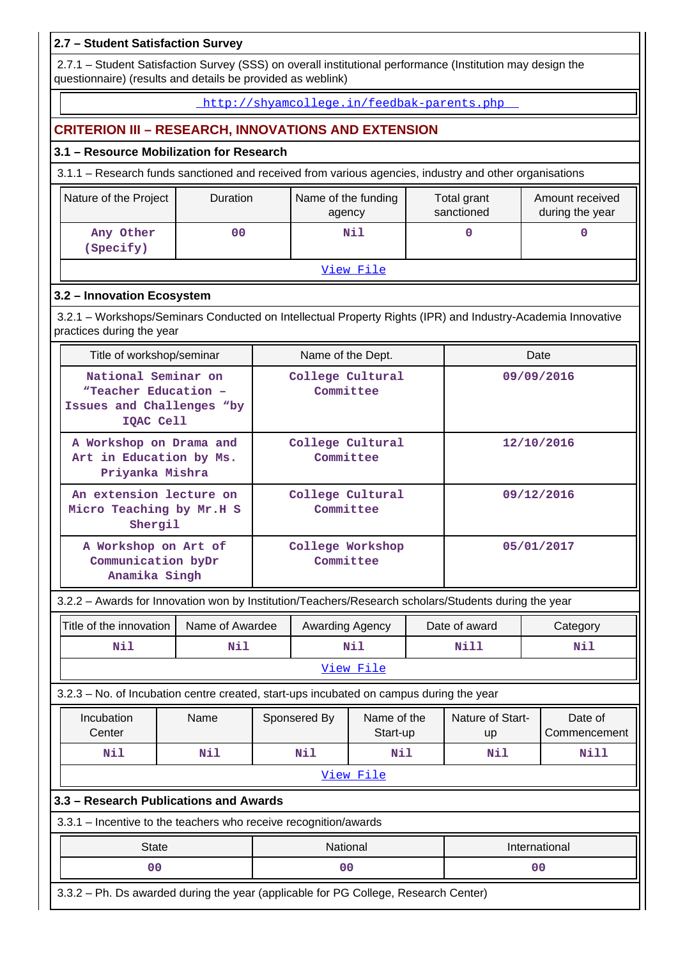## **2.7 – Student Satisfaction Survey**

 2.7.1 – Student Satisfaction Survey (SSS) on overall institutional performance (Institution may design the questionnaire) (results and details be provided as weblink)

#### http://shyamcollege.in/feedbak-parents.php

## **CRITERION III – RESEARCH, INNOVATIONS AND EXTENSION**

## **3.1 – Resource Mobilization for Research**

3.1.1 – Research funds sanctioned and received from various agencies, industry and other organisations

| Nature of the Project  | <b>Duration</b> | Name of the funding<br>agency | Total grant<br>sanctioned | Amount received<br>during the year |
|------------------------|-----------------|-------------------------------|---------------------------|------------------------------------|
| Any Other<br>(Specify) | 00              | Nil                           |                           |                                    |

#### View File

## **3.2 – Innovation Ecosystem**

 3.2.1 – Workshops/Seminars Conducted on Intellectual Property Rights (IPR) and Industry-Academia Innovative practices during the year

| Title of workshop/seminar                                                             | Name of the Dept.             | Date       |
|---------------------------------------------------------------------------------------|-------------------------------|------------|
| National Seminar on<br>"Teacher Education -<br>Issues and Challenges "by<br>IQAC Cell | College Cultural<br>Committee | 09/09/2016 |
| A Workshop on Drama and<br>Art in Education by Ms.<br>Priyanka Mishra                 | College Cultural<br>Committee | 12/10/2016 |
| An extension lecture on<br>Micro Teaching by Mr.H S<br>Shergil                        | College Cultural<br>Committee | 09/12/2016 |
| A Workshop on Art of<br>Communication by Dr<br>Anamika Singh                          | College Workshop<br>Committee | 05/01/2017 |

## 3.2.2 – Awards for Innovation won by Institution/Teachers/Research scholars/Students during the year

| Title of the innovation<br>Name of Awardee                                              |      |            | Awarding Agency |                         |                | Date of award          |      | Category                |  |  |
|-----------------------------------------------------------------------------------------|------|------------|-----------------|-------------------------|----------------|------------------------|------|-------------------------|--|--|
| Nil<br>Nil                                                                              |      |            |                 | Nil                     |                | Nill                   | Nil  |                         |  |  |
| <u>View File</u>                                                                        |      |            |                 |                         |                |                        |      |                         |  |  |
| 3.2.3 – No. of Incubation centre created, start-ups incubated on campus during the year |      |            |                 |                         |                |                        |      |                         |  |  |
| Incubation<br>Center                                                                    | Name |            | Sponsered By    | Name of the<br>Start-up |                | Nature of Start-<br>up |      | Date of<br>Commencement |  |  |
| Nil                                                                                     | Nil  | Nil<br>Nil |                 |                         | Nil            |                        | Nill |                         |  |  |
|                                                                                         |      |            |                 | View File               |                |                        |      |                         |  |  |
| 3.3 - Research Publications and Awards                                                  |      |            |                 |                         |                |                        |      |                         |  |  |
| 3.3.1 – Incentive to the teachers who receive recognition/awards                        |      |            |                 |                         |                |                        |      |                         |  |  |
| <b>State</b>                                                                            |      |            | National        |                         |                |                        |      | International           |  |  |
| 0 <sup>0</sup>                                                                          |      | 00         |                 |                         | 0 <sub>0</sub> |                        |      |                         |  |  |
| 3.3.2 – Ph. Ds awarded during the year (applicable for PG College, Research Center)     |      |            |                 |                         |                |                        |      |                         |  |  |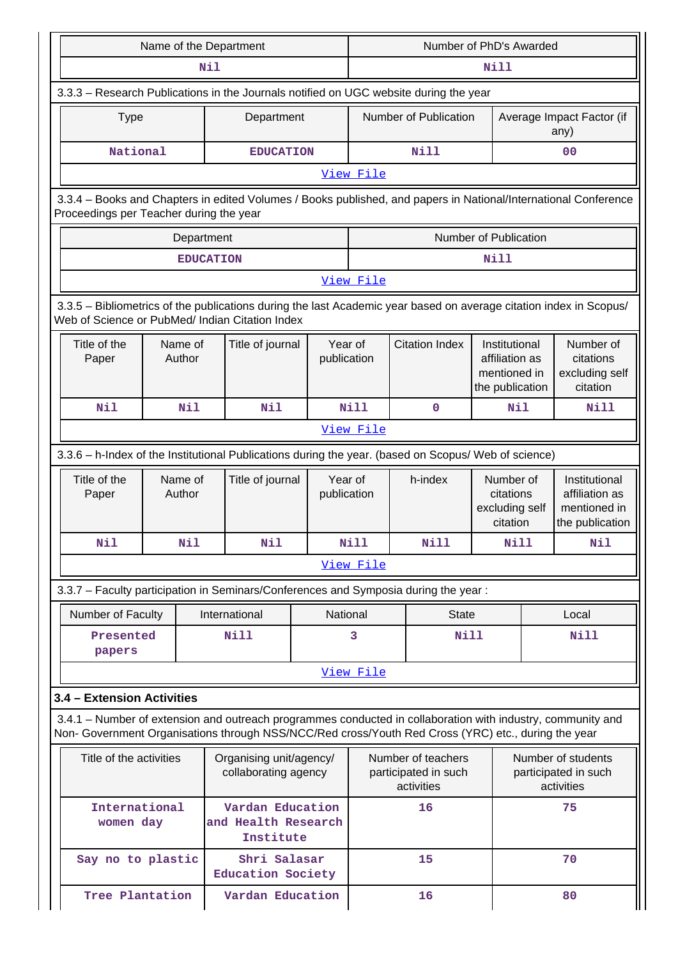|                                                 | Name of the Department |                  |                                                      |                        |                        |                                                                                                                                                                                                                    | Number of PhD's Awarded                                            |                                   |                                                                                                                 |
|-------------------------------------------------|------------------------|------------------|------------------------------------------------------|------------------------|------------------------|--------------------------------------------------------------------------------------------------------------------------------------------------------------------------------------------------------------------|--------------------------------------------------------------------|-----------------------------------|-----------------------------------------------------------------------------------------------------------------|
|                                                 |                        | Nil              |                                                      |                        | Nill                   |                                                                                                                                                                                                                    |                                                                    |                                   |                                                                                                                 |
|                                                 |                        |                  |                                                      |                        |                        | 3.3.3 - Research Publications in the Journals notified on UGC website during the year                                                                                                                              |                                                                    |                                   |                                                                                                                 |
| <b>Type</b>                                     |                        |                  | Department                                           |                        | Number of Publication  |                                                                                                                                                                                                                    |                                                                    | Average Impact Factor (if<br>any) |                                                                                                                 |
| National                                        |                        |                  | <b>EDUCATION</b>                                     |                        |                        | Nill                                                                                                                                                                                                               |                                                                    |                                   | 0 <sub>0</sub>                                                                                                  |
|                                                 |                        |                  |                                                      |                        | View File              |                                                                                                                                                                                                                    |                                                                    |                                   |                                                                                                                 |
| Proceedings per Teacher during the year         |                        |                  |                                                      |                        |                        |                                                                                                                                                                                                                    |                                                                    |                                   | 3.3.4 - Books and Chapters in edited Volumes / Books published, and papers in National/International Conference |
|                                                 |                        | Department       |                                                      |                        |                        |                                                                                                                                                                                                                    | Number of Publication                                              |                                   |                                                                                                                 |
|                                                 |                        | <b>EDUCATION</b> |                                                      |                        |                        |                                                                                                                                                                                                                    | Nill                                                               |                                   |                                                                                                                 |
|                                                 |                        |                  |                                                      |                        | View File              |                                                                                                                                                                                                                    |                                                                    |                                   |                                                                                                                 |
| Web of Science or PubMed/ Indian Citation Index |                        |                  |                                                      |                        |                        | 3.3.5 - Bibliometrics of the publications during the last Academic year based on average citation index in Scopus/                                                                                                 |                                                                    |                                   |                                                                                                                 |
| Title of the<br>Paper                           | Name of<br>Author      |                  | Title of journal                                     | Year of<br>publication |                        | <b>Citation Index</b>                                                                                                                                                                                              | Institutional<br>affiliation as<br>mentioned in<br>the publication |                                   | Number of<br>citations<br>excluding self<br>citation                                                            |
| Nil                                             | Nil                    |                  | Nil                                                  |                        | <b>Nill</b><br>0       |                                                                                                                                                                                                                    | Nil                                                                |                                   | Nill                                                                                                            |
|                                                 |                        |                  |                                                      |                        | View File              |                                                                                                                                                                                                                    |                                                                    |                                   |                                                                                                                 |
|                                                 |                        |                  |                                                      |                        |                        | 3.3.6 - h-Index of the Institutional Publications during the year. (based on Scopus/ Web of science)                                                                                                               |                                                                    |                                   |                                                                                                                 |
| Title of the<br>Paper                           | Name of<br>Author      |                  | Title of journal                                     |                        | Year of<br>publication | h-index                                                                                                                                                                                                            | Number of<br>citations<br>excluding self<br>citation               |                                   | Institutional<br>affiliation as<br>mentioned in<br>the publication                                              |
| Nil                                             | Nil                    |                  | Nil                                                  |                        | Nill<br>Nill           |                                                                                                                                                                                                                    | Nill                                                               |                                   | Nil                                                                                                             |
|                                                 |                        |                  |                                                      |                        | View File              |                                                                                                                                                                                                                    |                                                                    |                                   |                                                                                                                 |
|                                                 |                        |                  |                                                      |                        |                        | 3.3.7 - Faculty participation in Seminars/Conferences and Symposia during the year:                                                                                                                                |                                                                    |                                   |                                                                                                                 |
| Number of Faculty                               |                        |                  | International                                        |                        | National               | <b>State</b>                                                                                                                                                                                                       |                                                                    |                                   | Local                                                                                                           |
| Presented<br>papers                             |                        |                  | <b>Nill</b>                                          |                        | 3                      | Nill                                                                                                                                                                                                               |                                                                    |                                   | Nill                                                                                                            |
|                                                 |                        |                  |                                                      |                        | View File              |                                                                                                                                                                                                                    |                                                                    |                                   |                                                                                                                 |
| 3.4 - Extension Activities                      |                        |                  |                                                      |                        |                        |                                                                                                                                                                                                                    |                                                                    |                                   |                                                                                                                 |
|                                                 |                        |                  |                                                      |                        |                        | 3.4.1 – Number of extension and outreach programmes conducted in collaboration with industry, community and<br>Non- Government Organisations through NSS/NCC/Red cross/Youth Red Cross (YRC) etc., during the year |                                                                    |                                   |                                                                                                                 |
| Title of the activities                         |                        |                  | Organising unit/agency/<br>collaborating agency      |                        |                        | Number of teachers<br>participated in such<br>activities                                                                                                                                                           |                                                                    |                                   | Number of students<br>participated in such<br>activities                                                        |
| International<br>women day                      |                        |                  | Vardan Education<br>and Health Research<br>Institute |                        |                        | 16                                                                                                                                                                                                                 |                                                                    |                                   | 75                                                                                                              |
| Say no to plastic                               |                        |                  | Shri Salasar<br>Education Society                    |                        |                        | 15                                                                                                                                                                                                                 |                                                                    | 70                                |                                                                                                                 |
| Tree Plantation                                 |                        |                  | Vardan Education                                     |                        | 16<br>80               |                                                                                                                                                                                                                    |                                                                    |                                   |                                                                                                                 |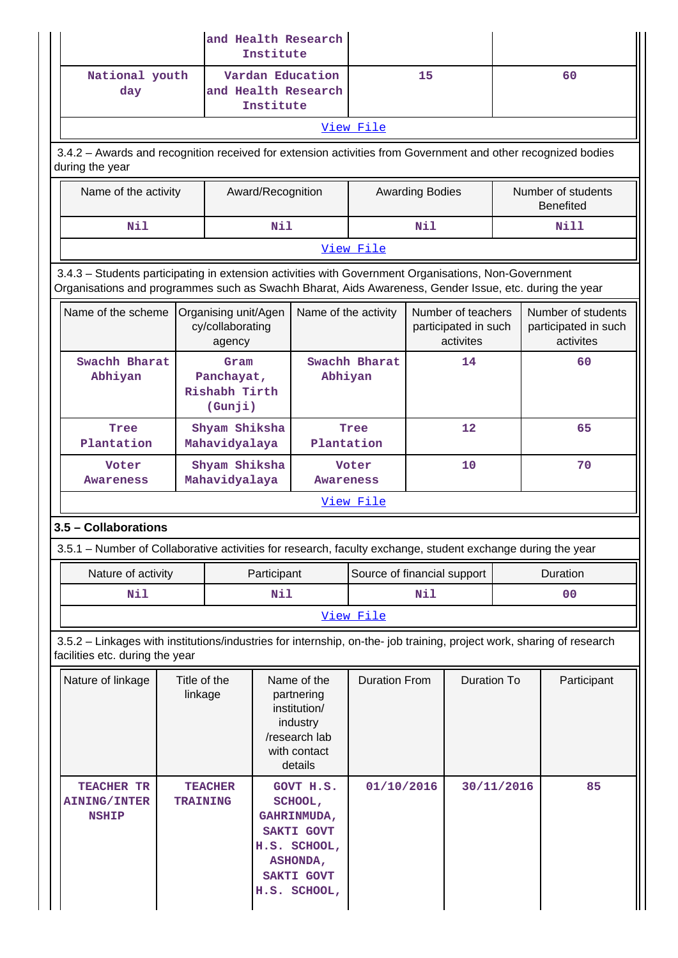|                                                                                                                                                                                                                |                         |                                                    | Institute         | and Health Research                                                                                         |                             |     |                                                         |                                        |                                                         |  |
|----------------------------------------------------------------------------------------------------------------------------------------------------------------------------------------------------------------|-------------------------|----------------------------------------------------|-------------------|-------------------------------------------------------------------------------------------------------------|-----------------------------|-----|---------------------------------------------------------|----------------------------------------|---------------------------------------------------------|--|
| National youth<br>day                                                                                                                                                                                          |                         |                                                    | Institute         | Vardan Education<br>and Health Research                                                                     |                             | 15  |                                                         |                                        | 60                                                      |  |
|                                                                                                                                                                                                                |                         |                                                    |                   |                                                                                                             | View File                   |     |                                                         |                                        |                                                         |  |
| 3.4.2 - Awards and recognition received for extension activities from Government and other recognized bodies<br>during the year                                                                                |                         |                                                    |                   |                                                                                                             |                             |     |                                                         |                                        |                                                         |  |
| Name of the activity                                                                                                                                                                                           |                         |                                                    | Award/Recognition |                                                                                                             | <b>Awarding Bodies</b>      |     |                                                         | Number of students<br><b>Benefited</b> |                                                         |  |
| Nil                                                                                                                                                                                                            |                         |                                                    |                   | Nil                                                                                                         |                             | Nil |                                                         |                                        | Nill                                                    |  |
|                                                                                                                                                                                                                |                         |                                                    |                   |                                                                                                             | View File                   |     |                                                         |                                        |                                                         |  |
| 3.4.3 - Students participating in extension activities with Government Organisations, Non-Government<br>Organisations and programmes such as Swachh Bharat, Aids Awareness, Gender Issue, etc. during the year |                         |                                                    |                   |                                                                                                             |                             |     |                                                         |                                        |                                                         |  |
| Name of the scheme                                                                                                                                                                                             |                         | Organising unit/Agen<br>cy/collaborating<br>agency |                   | Name of the activity                                                                                        |                             |     | Number of teachers<br>participated in such<br>activites |                                        | Number of students<br>participated in such<br>activites |  |
| Swachh Bharat<br>Gram<br>Abhiyan<br>Panchayat,<br>Rishabh Tirth<br>(Gunji)                                                                                                                                     |                         |                                                    | Abhiyan           | Swachh Bharat                                                                                               |                             | 14  |                                                         | 60                                     |                                                         |  |
| Shyam Shiksha<br>Tree<br>Plantation<br>Mahavidyalaya                                                                                                                                                           |                         | Tree<br>Plantation                                 |                   |                                                                                                             | 12                          |     | 65                                                      |                                        |                                                         |  |
| Voter<br><b>Awareness</b>                                                                                                                                                                                      |                         | Shyam Shiksha<br>Mahavidyalaya                     |                   | <b>Awareness</b>                                                                                            | Voter                       |     | 10                                                      |                                        | 70                                                      |  |
|                                                                                                                                                                                                                |                         |                                                    |                   |                                                                                                             | View File                   |     |                                                         |                                        |                                                         |  |
| 3.5 - Collaborations                                                                                                                                                                                           |                         |                                                    |                   |                                                                                                             |                             |     |                                                         |                                        |                                                         |  |
| 3.5.1 – Number of Collaborative activities for research, faculty exchange, student exchange during the year                                                                                                    |                         |                                                    |                   |                                                                                                             |                             |     |                                                         |                                        |                                                         |  |
| Nature of activity                                                                                                                                                                                             |                         |                                                    | Participant       |                                                                                                             | Source of financial support |     |                                                         | Duration                               |                                                         |  |
| <b>Nil</b>                                                                                                                                                                                                     |                         |                                                    | Nil               |                                                                                                             |                             | Nil |                                                         |                                        | 00                                                      |  |
|                                                                                                                                                                                                                |                         |                                                    |                   |                                                                                                             | View File                   |     |                                                         |                                        |                                                         |  |
| 3.5.2 - Linkages with institutions/industries for internship, on-the- job training, project work, sharing of research<br>facilities etc. during the year                                                       |                         |                                                    |                   |                                                                                                             |                             |     |                                                         |                                        |                                                         |  |
| Nature of linkage                                                                                                                                                                                              | Title of the<br>linkage |                                                    |                   | Name of the<br>partnering<br>institution/<br>industry<br>/research lab<br>with contact<br>details           | <b>Duration From</b>        |     | <b>Duration To</b>                                      |                                        | Participant                                             |  |
| TEACHER TR<br><b>AINING/INTER</b><br><b>NSHIP</b>                                                                                                                                                              | <b>TRAINING</b>         | <b>TEACHER</b>                                     |                   | GOVT H.S.<br>SCHOOL,<br>GAHRINMUDA,<br>SAKTI GOVT<br>H.S. SCHOOL,<br>ASHONDA,<br>SAKTI GOVT<br>H.S. SCHOOL, | 01/10/2016                  |     |                                                         | 30/11/2016                             | 85                                                      |  |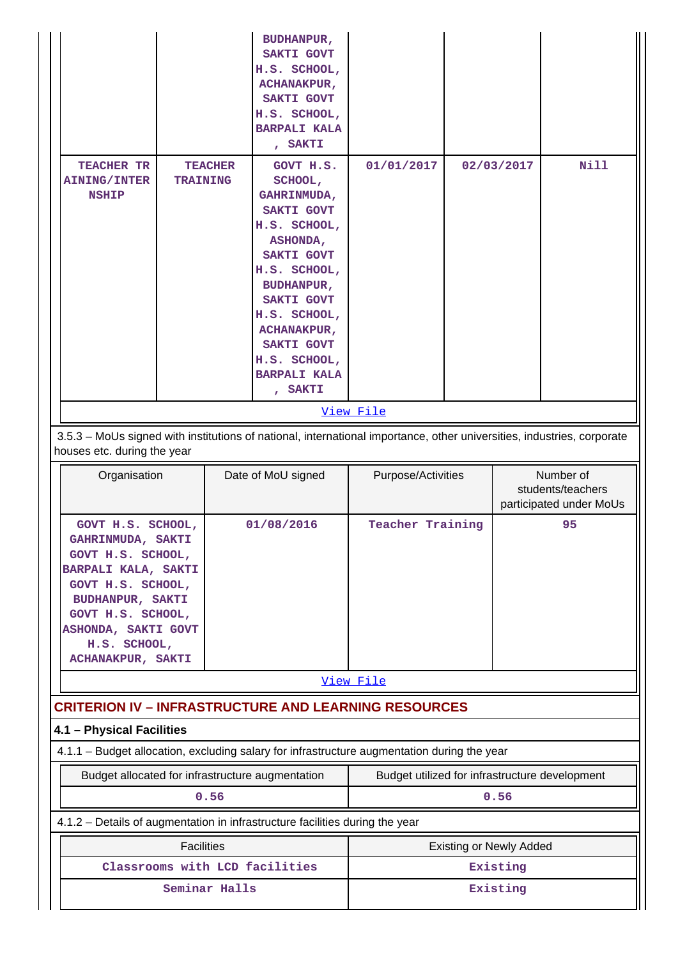|                                                                                                                                                                                                                     |                                   |      | <b>BUDHANPUR,</b><br><b>SAKTI GOVT</b><br>H.S. SCHOOL,<br><b>ACHANAKPUR,</b><br>SAKTI GOVT<br>H.S. SCHOOL,<br><b>BARPALI KALA</b><br>, SAKTI                                                                                                                       |                                                |            |                                |                                                           |  |  |
|---------------------------------------------------------------------------------------------------------------------------------------------------------------------------------------------------------------------|-----------------------------------|------|--------------------------------------------------------------------------------------------------------------------------------------------------------------------------------------------------------------------------------------------------------------------|------------------------------------------------|------------|--------------------------------|-----------------------------------------------------------|--|--|
| <b>TEACHER TR</b><br><b>AINING/INTER</b><br><b>NSHIP</b>                                                                                                                                                            | <b>TEACHER</b><br><b>TRAINING</b> |      | GOVT H.S.<br>SCHOOL,<br>GAHRINMUDA,<br><b>SAKTI GOVT</b><br>H.S. SCHOOL,<br>ASHONDA,<br><b>SAKTI GOVT</b><br>H.S. SCHOOL,<br><b>BUDHANPUR,</b><br>SAKTI GOVT<br>H.S. SCHOOL,<br><b>ACHANAKPUR,</b><br>SAKTI GOVT<br>H.S. SCHOOL,<br><b>BARPALI KALA</b><br>, SAKTI | 01/01/2017                                     | 02/03/2017 |                                | <b>Nill</b>                                               |  |  |
|                                                                                                                                                                                                                     |                                   |      |                                                                                                                                                                                                                                                                    | View File                                      |            |                                |                                                           |  |  |
| 3.5.3 - MoUs signed with institutions of national, international importance, other universities, industries, corporate<br>houses etc. during the year                                                               |                                   |      |                                                                                                                                                                                                                                                                    |                                                |            |                                |                                                           |  |  |
| Organisation                                                                                                                                                                                                        |                                   |      |                                                                                                                                                                                                                                                                    |                                                |            |                                |                                                           |  |  |
|                                                                                                                                                                                                                     |                                   |      | Date of MoU signed                                                                                                                                                                                                                                                 | Purpose/Activities                             |            |                                | Number of<br>students/teachers<br>participated under MoUs |  |  |
| GOVT H.S. SCHOOL,<br>GAHRINMUDA, SAKTI<br>GOVT H.S. SCHOOL,<br>BARPALI KALA, SAKTI<br>GOVT H.S. SCHOOL,<br><b>BUDHANPUR, SAKTI</b><br>GOVT H.S. SCHOOL,<br>ASHONDA, SAKTI GOVT<br>H.S. SCHOOL,<br>ACHANAKPUR, SAKTI |                                   |      | 01/08/2016                                                                                                                                                                                                                                                         | <b>Teacher Training</b>                        |            |                                | 95                                                        |  |  |
|                                                                                                                                                                                                                     |                                   |      |                                                                                                                                                                                                                                                                    | View File                                      |            |                                |                                                           |  |  |
|                                                                                                                                                                                                                     |                                   |      | <b>CRITERION IV - INFRASTRUCTURE AND LEARNING RESOURCES</b>                                                                                                                                                                                                        |                                                |            |                                |                                                           |  |  |
| 4.1 - Physical Facilities                                                                                                                                                                                           |                                   |      |                                                                                                                                                                                                                                                                    |                                                |            |                                |                                                           |  |  |
|                                                                                                                                                                                                                     |                                   |      | 4.1.1 - Budget allocation, excluding salary for infrastructure augmentation during the year                                                                                                                                                                        |                                                |            |                                |                                                           |  |  |
| Budget allocated for infrastructure augmentation                                                                                                                                                                    |                                   | 0.56 |                                                                                                                                                                                                                                                                    | Budget utilized for infrastructure development |            | 0.56                           |                                                           |  |  |
|                                                                                                                                                                                                                     |                                   |      | 4.1.2 - Details of augmentation in infrastructure facilities during the year                                                                                                                                                                                       |                                                |            |                                |                                                           |  |  |
|                                                                                                                                                                                                                     | <b>Facilities</b>                 |      |                                                                                                                                                                                                                                                                    |                                                |            | <b>Existing or Newly Added</b> |                                                           |  |  |
|                                                                                                                                                                                                                     |                                   |      | Classrooms with LCD facilities                                                                                                                                                                                                                                     |                                                |            | Existing                       |                                                           |  |  |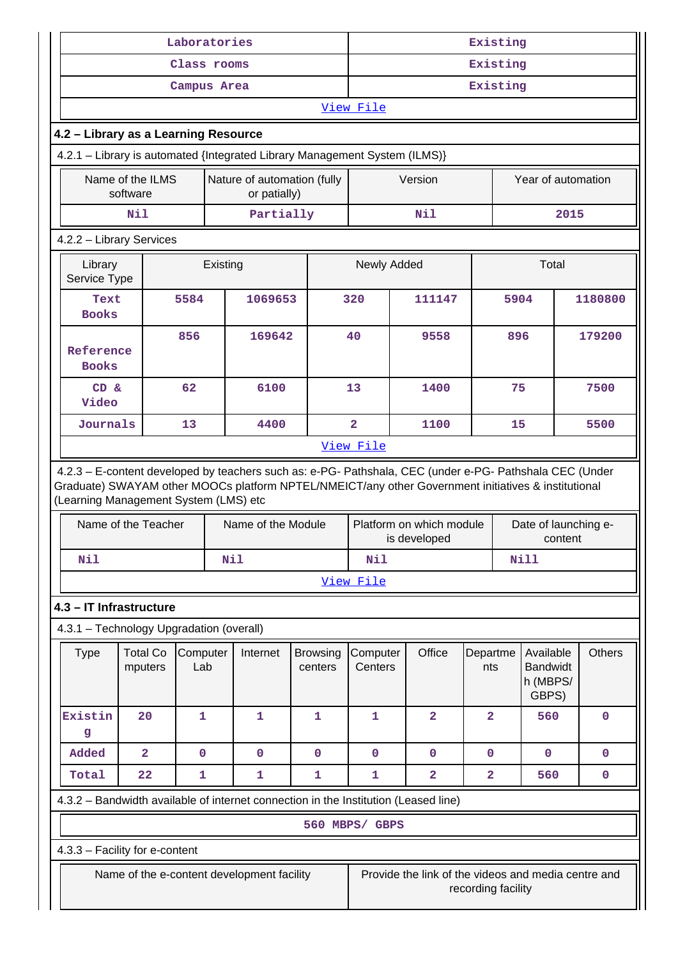|                                                                                                                                                                                                                                                         |                              | Laboratories    |          |                                             |                            | Existing<br>Existing                     |                                                     |      |                    |                                                   |      |               |
|---------------------------------------------------------------------------------------------------------------------------------------------------------------------------------------------------------------------------------------------------------|------------------------------|-----------------|----------|---------------------------------------------|----------------------------|------------------------------------------|-----------------------------------------------------|------|--------------------|---------------------------------------------------|------|---------------|
|                                                                                                                                                                                                                                                         |                              | Class rooms     |          |                                             |                            |                                          |                                                     |      |                    |                                                   |      |               |
|                                                                                                                                                                                                                                                         |                              | Campus Area     |          |                                             |                            | Existing                                 |                                                     |      |                    |                                                   |      |               |
|                                                                                                                                                                                                                                                         |                              |                 |          |                                             |                            | View File                                |                                                     |      |                    |                                                   |      |               |
| 4.2 - Library as a Learning Resource<br>4.2.1 - Library is automated {Integrated Library Management System (ILMS)}                                                                                                                                      |                              |                 |          |                                             |                            |                                          |                                                     |      |                    |                                                   |      |               |
|                                                                                                                                                                                                                                                         |                              |                 |          |                                             |                            |                                          |                                                     |      |                    |                                                   |      |               |
|                                                                                                                                                                                                                                                         | Name of the ILMS<br>software |                 |          | Nature of automation (fully<br>or patially) |                            |                                          | Version                                             |      |                    | Year of automation                                |      |               |
|                                                                                                                                                                                                                                                         | N11                          |                 |          | Partially                                   |                            |                                          | Nil                                                 |      |                    |                                                   | 2015 |               |
| 4.2.2 - Library Services                                                                                                                                                                                                                                |                              |                 |          |                                             |                            |                                          |                                                     |      |                    |                                                   |      |               |
| Library<br>Service Type                                                                                                                                                                                                                                 |                              |                 | Existing |                                             |                            | Newly Added                              |                                                     |      |                    | Total                                             |      |               |
| Text<br><b>Books</b>                                                                                                                                                                                                                                    |                              | 5584            |          | 1069653                                     |                            | 320                                      | 111147                                              |      | 5904               |                                                   |      | 1180800       |
| Reference<br><b>Books</b>                                                                                                                                                                                                                               |                              | 856             |          | 169642                                      |                            | 40                                       | 9558                                                |      | 896                |                                                   |      | 179200        |
| CD &<br>Video                                                                                                                                                                                                                                           |                              | 62              |          | 6100                                        |                            | 13                                       | 1400                                                |      | 75                 |                                                   |      | 7500          |
| Journals                                                                                                                                                                                                                                                |                              | 13              |          | 4400                                        |                            | $\overline{2}$                           |                                                     | 1100 |                    | 15                                                |      | 5500          |
|                                                                                                                                                                                                                                                         |                              |                 |          |                                             |                            | View File                                |                                                     |      |                    |                                                   |      |               |
| 4.2.3 - E-content developed by teachers such as: e-PG- Pathshala, CEC (under e-PG- Pathshala CEC (Under<br>Graduate) SWAYAM other MOOCs platform NPTEL/NMEICT/any other Government initiatives & institutional<br>(Learning Management System (LMS) etc |                              |                 |          |                                             |                            |                                          |                                                     |      |                    |                                                   |      |               |
|                                                                                                                                                                                                                                                         | Name of the Teacher          |                 |          | Name of the Module                          |                            | Platform on which module<br>is developed |                                                     |      |                    | Date of launching e-<br>content                   |      |               |
| Nil                                                                                                                                                                                                                                                     |                              |                 | Nil      |                                             |                            | Nil<br><b>Nill</b>                       |                                                     |      |                    |                                                   |      |               |
|                                                                                                                                                                                                                                                         |                              |                 |          |                                             |                            | View File                                |                                                     |      |                    |                                                   |      |               |
| 4.3 - IT Infrastructure                                                                                                                                                                                                                                 |                              |                 |          |                                             |                            |                                          |                                                     |      |                    |                                                   |      |               |
| 4.3.1 - Technology Upgradation (overall)                                                                                                                                                                                                                |                              |                 |          |                                             |                            |                                          |                                                     |      |                    |                                                   |      |               |
| <b>Type</b>                                                                                                                                                                                                                                             | <b>Total Co</b><br>mputers   | Computer<br>Lab |          | Internet                                    | <b>Browsing</b><br>centers | Computer<br>Centers                      | Office                                              |      | Departme<br>nts    | Available<br><b>Bandwidt</b><br>h (MBPS/<br>GBPS) |      | <b>Others</b> |
| Existin<br>g                                                                                                                                                                                                                                            | 20                           | 1               |          | 1                                           | 1                          | $\mathbf{1}$                             | $\overline{2}$                                      |      | $\overline{2}$     | 560                                               |      | $\mathbf 0$   |
| Added                                                                                                                                                                                                                                                   | $\overline{\mathbf{2}}$      | $\mathbf 0$     |          | $\mathbf 0$                                 | $\mathbf 0$                | $\mathbf 0$                              | $\mathbf 0$                                         |      | $\mathbf 0$        | 0                                                 |      | $\mathbf 0$   |
| Total                                                                                                                                                                                                                                                   | 22                           | 1               |          | 1                                           | 1                          | 1                                        | $\overline{\mathbf{2}}$                             |      | $\mathbf{2}$       | 560                                               |      | $\pmb{0}$     |
| 4.3.2 - Bandwidth available of internet connection in the Institution (Leased line)                                                                                                                                                                     |                              |                 |          |                                             |                            |                                          |                                                     |      |                    |                                                   |      |               |
|                                                                                                                                                                                                                                                         |                              |                 |          |                                             |                            | 560 MBPS/ GBPS                           |                                                     |      |                    |                                                   |      |               |
| 4.3.3 - Facility for e-content                                                                                                                                                                                                                          |                              |                 |          |                                             |                            |                                          |                                                     |      |                    |                                                   |      |               |
|                                                                                                                                                                                                                                                         |                              |                 |          | Name of the e-content development facility  |                            |                                          | Provide the link of the videos and media centre and |      | recording facility |                                                   |      |               |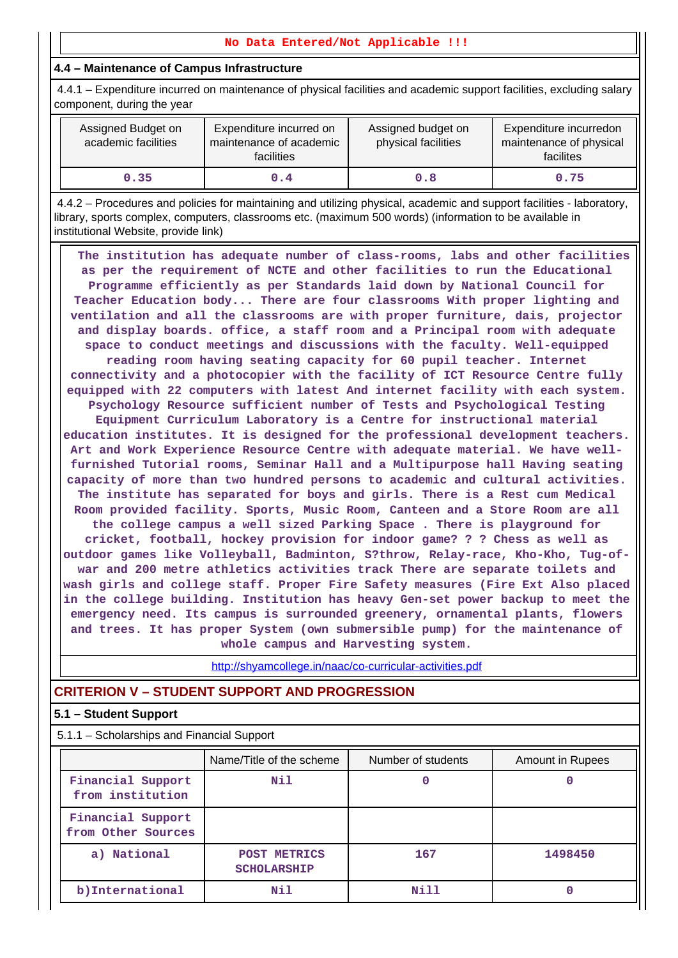#### **No Data Entered/Not Applicable !!!**

## **4.4 – Maintenance of Campus Infrastructure**

 4.4.1 – Expenditure incurred on maintenance of physical facilities and academic support facilities, excluding salary component, during the year

| Assigned Budget on<br>academic facilities | Expenditure incurred on<br>maintenance of academic<br>facilities | Assigned budget on<br>physical facilities | Expenditure incurredon<br>maintenance of physical<br>facilites |
|-------------------------------------------|------------------------------------------------------------------|-------------------------------------------|----------------------------------------------------------------|
| 0.35                                      | 0.4                                                              | 0.8                                       | 0.75                                                           |

 4.4.2 – Procedures and policies for maintaining and utilizing physical, academic and support facilities - laboratory, library, sports complex, computers, classrooms etc. (maximum 500 words) (information to be available in institutional Website, provide link)

 **The institution has adequate number of class-rooms, labs and other facilities as per the requirement of NCTE and other facilities to run the Educational Programme efficiently as per Standards laid down by National Council for Teacher Education body... There are four classrooms With proper lighting and ventilation and all the classrooms are with proper furniture, dais, projector and display boards. office, a staff room and a Principal room with adequate space to conduct meetings and discussions with the faculty. Well-equipped reading room having seating capacity for 60 pupil teacher. Internet connectivity and a photocopier with the facility of ICT Resource Centre fully equipped with 22 computers with latest And internet facility with each system. Psychology Resource sufficient number of Tests and Psychological Testing Equipment Curriculum Laboratory is a Centre for instructional material education institutes. It is designed for the professional development teachers. Art and Work Experience Resource Centre with adequate material. We have wellfurnished Tutorial rooms, Seminar Hall and a Multipurpose hall Having seating capacity of more than two hundred persons to academic and cultural activities. The institute has separated for boys and girls. There is a Rest cum Medical Room provided facility. Sports, Music Room, Canteen and a Store Room are all the college campus a well sized Parking Space . There is playground for cricket, football, hockey provision for indoor game? ? ? Chess as well as outdoor games like Volleyball, Badminton, S?throw, Relay-race, Kho-Kho, Tug-ofwar and 200 metre athletics activities track There are separate toilets and wash girls and college staff. Proper Fire Safety measures (Fire Ext Also placed in the college building. Institution has heavy Gen-set power backup to meet the emergency need. Its campus is surrounded greenery, ornamental plants, flowers and trees. It has proper System (own submersible pump) for the maintenance of whole campus and Harvesting system.**

http://shyamcollege.in/naac/co-curricular-activities.pdf

# **CRITERION V – STUDENT SUPPORT AND PROGRESSION**

## **5.1 – Student Support**

5.1.1 – Scholarships and Financial Support

|                                         | Name/Title of the scheme           | Number of students | Amount in Rupees |
|-----------------------------------------|------------------------------------|--------------------|------------------|
| Financial Support<br>from institution   | Nil                                |                    |                  |
| Financial Support<br>from Other Sources |                                    |                    |                  |
| a) National                             | POST METRICS<br><b>SCHOLARSHIP</b> | 167                | 1498450          |
| b) International                        | Nil                                | Nill               |                  |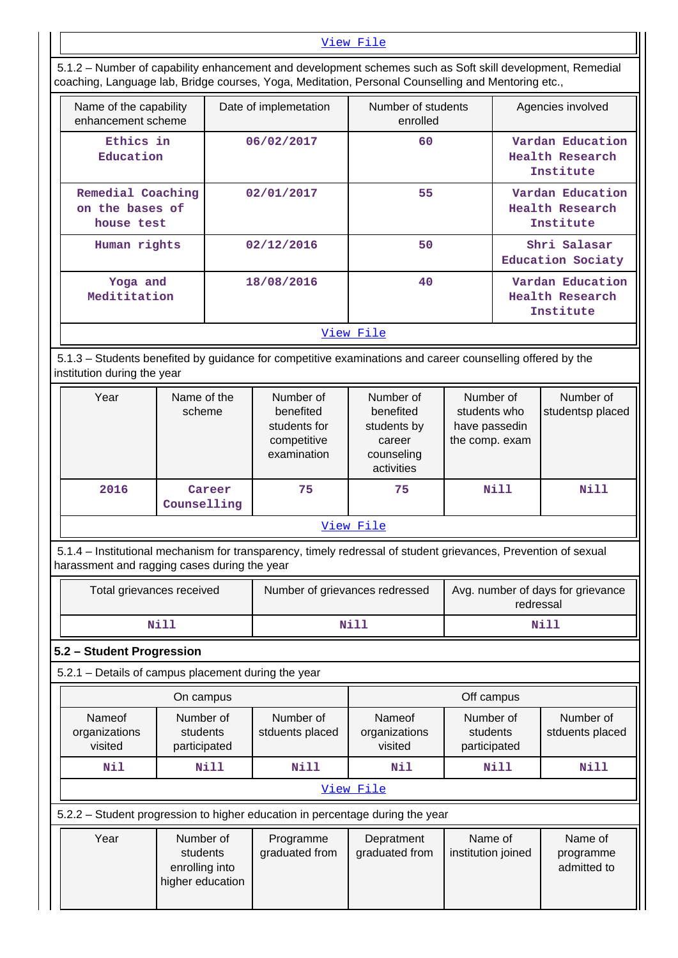#### View File

 5.1.2 – Number of capability enhancement and development schemes such as Soft skill development, Remedial coaching, Language lab, Bridge courses, Yoga, Meditation, Personal Counselling and Mentoring etc.,

| Name of the capability<br>enhancement scheme       | Date of implemetation | Number of students<br>enrolled | Agencies involved                                |
|----------------------------------------------------|-----------------------|--------------------------------|--------------------------------------------------|
| Ethics in<br>Education                             | 06/02/2017            | 60                             | Vardan Education<br>Health Research<br>Institute |
| Remedial Coaching<br>on the bases of<br>house test | 02/01/2017            | 55                             | Vardan Education<br>Health Research<br>Institute |
| Human rights                                       | 02/12/2016            | 50                             | Shri Salasar<br>Education Sociaty                |
| Yoga and<br>Medititation                           | 18/08/2016            | 40                             | Vardan Education<br>Health Research<br>Institute |
|                                                    |                       | View File                      |                                                  |

 5.1.3 – Students benefited by guidance for competitive examinations and career counselling offered by the institution during the year

| Year      | Name of the<br>scheme | Number of<br>benefited<br>students for<br>competitive<br>examination | Number of<br>benefited<br>students by<br>career<br>counseling<br>activities | Number of<br>students who<br>have passedin<br>the comp. exam | Number of<br>studentsp placed |  |  |  |  |
|-----------|-----------------------|----------------------------------------------------------------------|-----------------------------------------------------------------------------|--------------------------------------------------------------|-------------------------------|--|--|--|--|
| 2016      | Career<br>Counselling | 75                                                                   | 75                                                                          | Nill                                                         | Nill                          |  |  |  |  |
| View File |                       |                                                                      |                                                                             |                                                              |                               |  |  |  |  |

 5.1.4 – Institutional mechanism for transparency, timely redressal of student grievances, Prevention of sexual harassment and ragging cases during the year

| Total grievances received | Number of grievances redressed | Avg. number of days for grievance<br>redressal |
|---------------------------|--------------------------------|------------------------------------------------|
| Nill                      | Nill                           | Nill                                           |

## **5.2 – Student Progression**

5.2.1 – Details of campus placement during the year

|                                                                               | On campus                                                   |                              |                                    | Off campus                            |                                     |  |
|-------------------------------------------------------------------------------|-------------------------------------------------------------|------------------------------|------------------------------------|---------------------------------------|-------------------------------------|--|
| Nameof<br>organizations<br>visited                                            | Number of<br>students<br>participated                       | Number of<br>stduents placed | Nameof<br>organizations<br>visited | Number of<br>students<br>participated | Number of<br>stduents placed        |  |
| Nil                                                                           | Nill                                                        | <b>Nill</b>                  | Nil                                | Nill                                  | Nill                                |  |
|                                                                               | View File                                                   |                              |                                    |                                       |                                     |  |
| 5.2.2 – Student progression to higher education in percentage during the year |                                                             |                              |                                    |                                       |                                     |  |
| Year                                                                          | Number of<br>students<br>enrolling into<br>higher education | Programme<br>graduated from  | Depratment<br>graduated from       | Name of<br>institution joined         | Name of<br>programme<br>admitted to |  |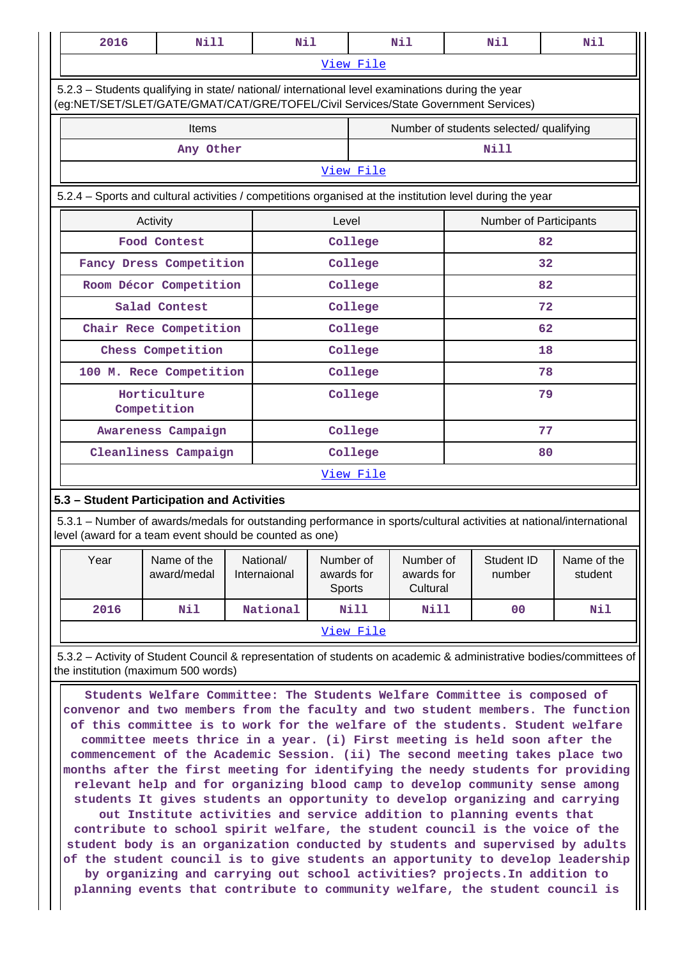| View File<br>5.2.3 - Students qualifying in state/ national/ international level examinations during the year<br>(eg:NET/SET/SLET/GATE/GMAT/CAT/GRE/TOFEL/Civil Services/State Government Services)<br>Items<br>Number of students selected/ qualifying<br><b>Nill</b><br>Any Other<br>View File<br>5.2.4 - Sports and cultural activities / competitions organised at the institution level during the year<br>Level<br>Activity<br>Food Contest<br>College<br>Fancy Dress Competition<br>College<br>Room Décor Competition<br>College<br>Salad Contest<br>College<br>Chair Rece Competition<br>College |                               |  |  |  |  |  |
|----------------------------------------------------------------------------------------------------------------------------------------------------------------------------------------------------------------------------------------------------------------------------------------------------------------------------------------------------------------------------------------------------------------------------------------------------------------------------------------------------------------------------------------------------------------------------------------------------------|-------------------------------|--|--|--|--|--|
|                                                                                                                                                                                                                                                                                                                                                                                                                                                                                                                                                                                                          |                               |  |  |  |  |  |
|                                                                                                                                                                                                                                                                                                                                                                                                                                                                                                                                                                                                          |                               |  |  |  |  |  |
|                                                                                                                                                                                                                                                                                                                                                                                                                                                                                                                                                                                                          |                               |  |  |  |  |  |
|                                                                                                                                                                                                                                                                                                                                                                                                                                                                                                                                                                                                          |                               |  |  |  |  |  |
|                                                                                                                                                                                                                                                                                                                                                                                                                                                                                                                                                                                                          |                               |  |  |  |  |  |
|                                                                                                                                                                                                                                                                                                                                                                                                                                                                                                                                                                                                          |                               |  |  |  |  |  |
|                                                                                                                                                                                                                                                                                                                                                                                                                                                                                                                                                                                                          | <b>Number of Participants</b> |  |  |  |  |  |
|                                                                                                                                                                                                                                                                                                                                                                                                                                                                                                                                                                                                          | 82                            |  |  |  |  |  |
|                                                                                                                                                                                                                                                                                                                                                                                                                                                                                                                                                                                                          | 32                            |  |  |  |  |  |
|                                                                                                                                                                                                                                                                                                                                                                                                                                                                                                                                                                                                          | 82                            |  |  |  |  |  |
|                                                                                                                                                                                                                                                                                                                                                                                                                                                                                                                                                                                                          | 72                            |  |  |  |  |  |
|                                                                                                                                                                                                                                                                                                                                                                                                                                                                                                                                                                                                          | 62                            |  |  |  |  |  |
| Chess Competition<br>College                                                                                                                                                                                                                                                                                                                                                                                                                                                                                                                                                                             | 18                            |  |  |  |  |  |
| 100 M. Rece Competition<br>College                                                                                                                                                                                                                                                                                                                                                                                                                                                                                                                                                                       | 78                            |  |  |  |  |  |
| Horticulture<br>College<br>Competition                                                                                                                                                                                                                                                                                                                                                                                                                                                                                                                                                                   | 79                            |  |  |  |  |  |
| College<br>Awareness Campaign                                                                                                                                                                                                                                                                                                                                                                                                                                                                                                                                                                            | 77                            |  |  |  |  |  |
| Cleanliness Campaign<br>College                                                                                                                                                                                                                                                                                                                                                                                                                                                                                                                                                                          | 80                            |  |  |  |  |  |
| View File                                                                                                                                                                                                                                                                                                                                                                                                                                                                                                                                                                                                |                               |  |  |  |  |  |
| 5.3 - Student Participation and Activities                                                                                                                                                                                                                                                                                                                                                                                                                                                                                                                                                               |                               |  |  |  |  |  |

 5.3.1 – Number of awards/medals for outstanding performance in sports/cultural activities at national/international level (award for a team event should be counted as one)

| Year      | Name of the<br>award/medal | National/<br>Internaional | Number of<br>awards for<br><b>Sports</b> | Number of<br>awards for<br>Cultural | Student ID<br>number | Name of the<br>student |
|-----------|----------------------------|---------------------------|------------------------------------------|-------------------------------------|----------------------|------------------------|
| 2016      | Nil                        | National                  | Nill                                     | Nill                                | 00                   | Nil                    |
| View File |                            |                           |                                          |                                     |                      |                        |

 5.3.2 – Activity of Student Council & representation of students on academic & administrative bodies/committees of the institution (maximum 500 words)

 **Students Welfare Committee: The Students Welfare Committee is composed of convenor and two members from the faculty and two student members. The function of this committee is to work for the welfare of the students. Student welfare committee meets thrice in a year. (i) First meeting is held soon after the commencement of the Academic Session. (ii) The second meeting takes place two months after the first meeting for identifying the needy students for providing relevant help and for organizing blood camp to develop community sense among students It gives students an opportunity to develop organizing and carrying out Institute activities and service addition to planning events that contribute to school spirit welfare, the student council is the voice of the student body is an organization conducted by students and supervised by adults of the student council is to give students an apportunity to develop leadership by organizing and carrying out school activities? projects.In addition to planning events that contribute to community welfare, the student council is**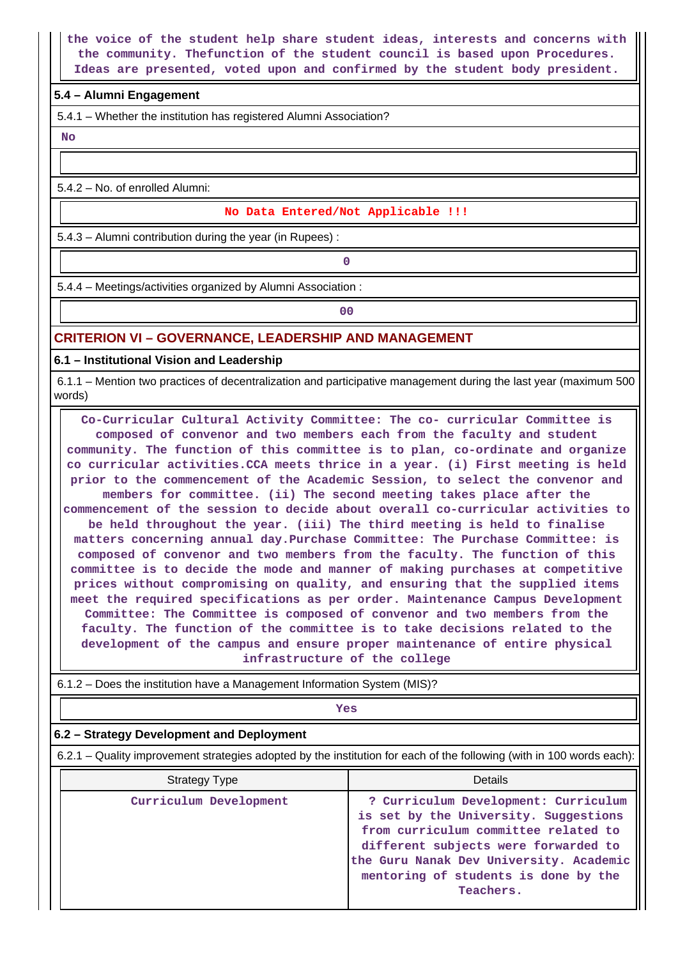**the voice of the student help share student ideas, interests and concerns with the community. Thefunction of the student council is based upon Procedures. Ideas are presented, voted upon and confirmed by the student body president.**

### **5.4 – Alumni Engagement**

5.4.1 – Whether the institution has registered Alumni Association?

 **No**

5.4.2 – No. of enrolled Alumni:

#### **No Data Entered/Not Applicable !!!**

5.4.3 – Alumni contribution during the year (in Rupees) :

**0**

5.4.4 – Meetings/activities organized by Alumni Association :

**00**

#### **CRITERION VI – GOVERNANCE, LEADERSHIP AND MANAGEMENT**

**6.1 – Institutional Vision and Leadership**

 6.1.1 – Mention two practices of decentralization and participative management during the last year (maximum 500 words)

 **Co-Curricular Cultural Activity Committee: The co- curricular Committee is composed of convenor and two members each from the faculty and student community. The function of this committee is to plan, co-ordinate and organize co curricular activities.CCA meets thrice in a year. (i) First meeting is held prior to the commencement of the Academic Session, to select the convenor and members for committee. (ii) The second meeting takes place after the commencement of the session to decide about overall co-curricular activities to be held throughout the year. (iii) The third meeting is held to finalise matters concerning annual day.Purchase Committee: The Purchase Committee: is composed of convenor and two members from the faculty. The function of this committee is to decide the mode and manner of making purchases at competitive prices without compromising on quality, and ensuring that the supplied items meet the required specifications as per order. Maintenance Campus Development Committee: The Committee is composed of convenor and two members from the faculty. The function of the committee is to take decisions related to the development of the campus and ensure proper maintenance of entire physical infrastructure of the college**

| 6.1.2 – Does the institution have a Management Information System (MIS)?                                              |                                                                                                                                                                                                                                                               |  |  |  |  |
|-----------------------------------------------------------------------------------------------------------------------|---------------------------------------------------------------------------------------------------------------------------------------------------------------------------------------------------------------------------------------------------------------|--|--|--|--|
|                                                                                                                       | Yes                                                                                                                                                                                                                                                           |  |  |  |  |
| 6.2 - Strategy Development and Deployment                                                                             |                                                                                                                                                                                                                                                               |  |  |  |  |
| 6.2.1 – Quality improvement strategies adopted by the institution for each of the following (with in 100 words each): |                                                                                                                                                                                                                                                               |  |  |  |  |
| <b>Strategy Type</b>                                                                                                  | Details                                                                                                                                                                                                                                                       |  |  |  |  |
| Curriculum Development                                                                                                | ? Curriculum Development: Curriculum<br>is set by the University. Suggestions<br>from curriculum committee related to<br>different subjects were forwarded to<br>the Guru Nanak Dev University. Academic<br>mentoring of students is done by the<br>Teachers. |  |  |  |  |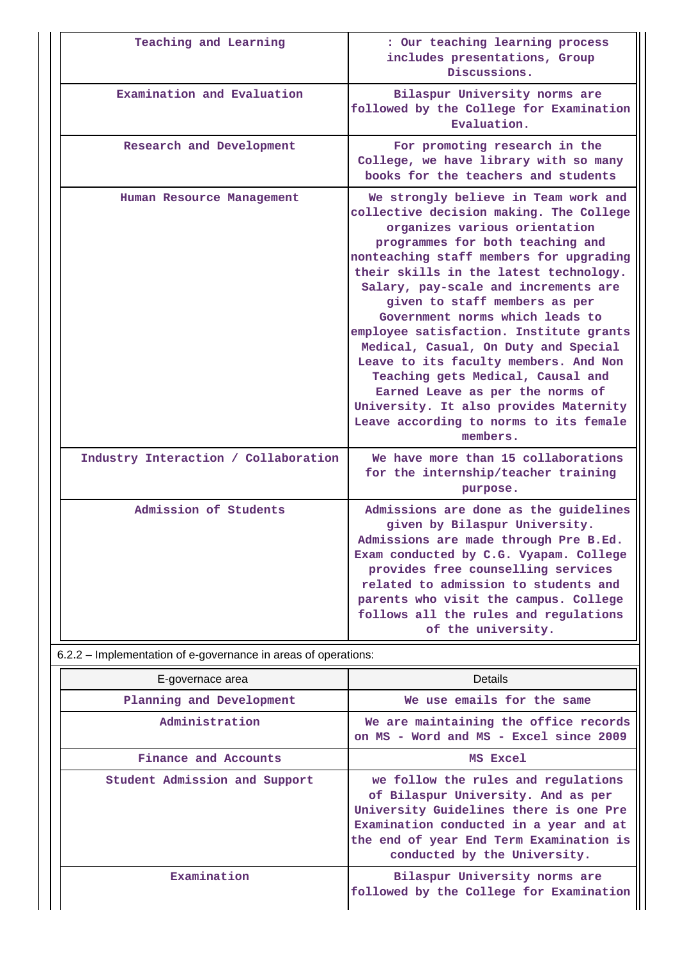| Teaching and Learning                                          | : Our teaching learning process<br>includes presentations, Group<br>Discussions.                                                                                                                                                                                                                                                                                                                                                                                                                                                                                                                                                                           |
|----------------------------------------------------------------|------------------------------------------------------------------------------------------------------------------------------------------------------------------------------------------------------------------------------------------------------------------------------------------------------------------------------------------------------------------------------------------------------------------------------------------------------------------------------------------------------------------------------------------------------------------------------------------------------------------------------------------------------------|
| Examination and Evaluation                                     | Bilaspur University norms are<br>followed by the College for Examination<br>Evaluation.                                                                                                                                                                                                                                                                                                                                                                                                                                                                                                                                                                    |
| Research and Development                                       | For promoting research in the<br>College, we have library with so many<br>books for the teachers and students                                                                                                                                                                                                                                                                                                                                                                                                                                                                                                                                              |
| Human Resource Management                                      | We strongly believe in Team work and<br>collective decision making. The College<br>organizes various orientation<br>programmes for both teaching and<br>nonteaching staff members for upgrading<br>their skills in the latest technology.<br>Salary, pay-scale and increments are<br>given to staff members as per<br>Government norms which leads to<br>employee satisfaction. Institute grants<br>Medical, Casual, On Duty and Special<br>Leave to its faculty members. And Non<br>Teaching gets Medical, Causal and<br>Earned Leave as per the norms of<br>University. It also provides Maternity<br>Leave according to norms to its female<br>members. |
| Industry Interaction / Collaboration                           | We have more than 15 collaborations<br>for the internship/teacher training<br>purpose.                                                                                                                                                                                                                                                                                                                                                                                                                                                                                                                                                                     |
| Admission of Students                                          | Admissions are done as the guidelines<br>given by Bilaspur University.<br>Admissions are made through Pre B.Ed.<br>Exam conducted by C.G. Vyapam. College<br>provides free counselling services<br>related to admission to students and<br>parents who visit the campus. College<br>follows all the rules and regulations<br>of the university.                                                                                                                                                                                                                                                                                                            |
| 6.2.2 – Implementation of e-governance in areas of operations: |                                                                                                                                                                                                                                                                                                                                                                                                                                                                                                                                                                                                                                                            |
| E-governace area                                               | <b>Details</b>                                                                                                                                                                                                                                                                                                                                                                                                                                                                                                                                                                                                                                             |
| Planning and Development                                       | We use emails for the same                                                                                                                                                                                                                                                                                                                                                                                                                                                                                                                                                                                                                                 |
| Administration                                                 | We are maintaining the office records<br>on MS - Word and MS - Excel since 2009                                                                                                                                                                                                                                                                                                                                                                                                                                                                                                                                                                            |
| Finance and Accounts                                           | MS Excel                                                                                                                                                                                                                                                                                                                                                                                                                                                                                                                                                                                                                                                   |
| Student Admission and Support                                  | we follow the rules and regulations<br>of Bilaspur University. And as per<br>University Guidelines there is one Pre<br>Examination conducted in a year and at<br>the end of year End Term Examination is<br>conducted by the University.                                                                                                                                                                                                                                                                                                                                                                                                                   |
| Examination                                                    | Bilaspur University norms are<br>followed by the College for Examination                                                                                                                                                                                                                                                                                                                                                                                                                                                                                                                                                                                   |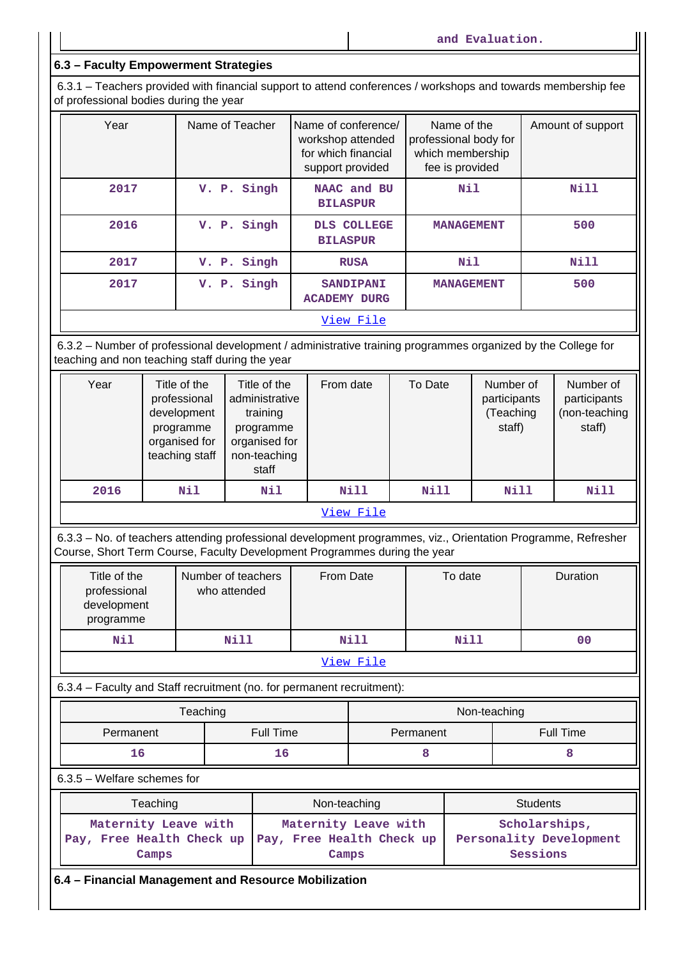**and Evaluation.**

## **6.3 – Faculty Empowerment Strategies**

 6.3.1 – Teachers provided with financial support to attend conferences / workshops and towards membership fee of professional bodies during the year

| Year | Name of Teacher | Name of conference/<br>workshop attended<br>for which financial<br>support provided | Name of the<br>professional body for<br>which membership<br>fee is provided | Amount of support |
|------|-----------------|-------------------------------------------------------------------------------------|-----------------------------------------------------------------------------|-------------------|
| 2017 | V. P. Singh     | NAAC and BU<br><b>BILASPUR</b>                                                      | Nil                                                                         | Nill              |
| 2016 | V. P. Singh     | DLS COLLEGE<br><b>BILASPUR</b>                                                      | <b>MANAGEMENT</b>                                                           | 500               |
| 2017 | V. P. Singh     | <b>RUSA</b>                                                                         | Nil                                                                         | Nill              |
| 2017 | V. P. Singh     | <b>SANDIPANI</b><br><b>ACADEMY DURG</b>                                             | <b>MANAGEMENT</b>                                                           | 500               |
|      |                 | View File                                                                           |                                                                             |                   |

 6.3.2 – Number of professional development / administrative training programmes organized by the College for teaching and non teaching staff during the year

| Year      | Title of the<br>professional<br>development<br>programme<br>organised for<br>teaching staff | Title of the<br>administrative<br>training<br>programme<br>organised for<br>non-teaching<br>staff | From date | To Date | Number of<br>participants<br>(Teaching<br>staff) | Number of<br>participants<br>(non-teaching<br>staff) |
|-----------|---------------------------------------------------------------------------------------------|---------------------------------------------------------------------------------------------------|-----------|---------|--------------------------------------------------|------------------------------------------------------|
| 2016      | Nil                                                                                         | Nil                                                                                               | Nill      | Nill    | Nill                                             | Nill                                                 |
| View File |                                                                                             |                                                                                                   |           |         |                                                  |                                                      |

 6.3.3 – No. of teachers attending professional development programmes, viz., Orientation Programme, Refresher Course, Short Term Course, Faculty Development Programmes during the year

| Title of the<br>professional<br>development<br>programme | Number of teachers<br>who attended | From Date | To date | <b>Duration</b> |  |
|----------------------------------------------------------|------------------------------------|-----------|---------|-----------------|--|
| Nil                                                      | Nill                               | Nill      | Nill    | 00              |  |
| View File                                                |                                    |           |         |                 |  |

6.3.4 – Faculty and Staff recruitment (no. for permanent recruitment):

|           | Teaching  | Non-teaching |           |  |
|-----------|-----------|--------------|-----------|--|
| Permanent | Full Time | Permanent    | Full Time |  |
| 16        | TР        |              |           |  |

6.3.5 – Welfare schemes for

| Teaching                      | Non-teaching                                                                         | <b>Students</b>                                      |  |
|-------------------------------|--------------------------------------------------------------------------------------|------------------------------------------------------|--|
| Maternity Leave with<br>Camps | Maternity Leave with<br>Pay, Free Health Check up Pay, Free Health Check up<br>Camps | Scholarships,<br>Personality Development<br>Sessions |  |

**6.4 – Financial Management and Resource Mobilization**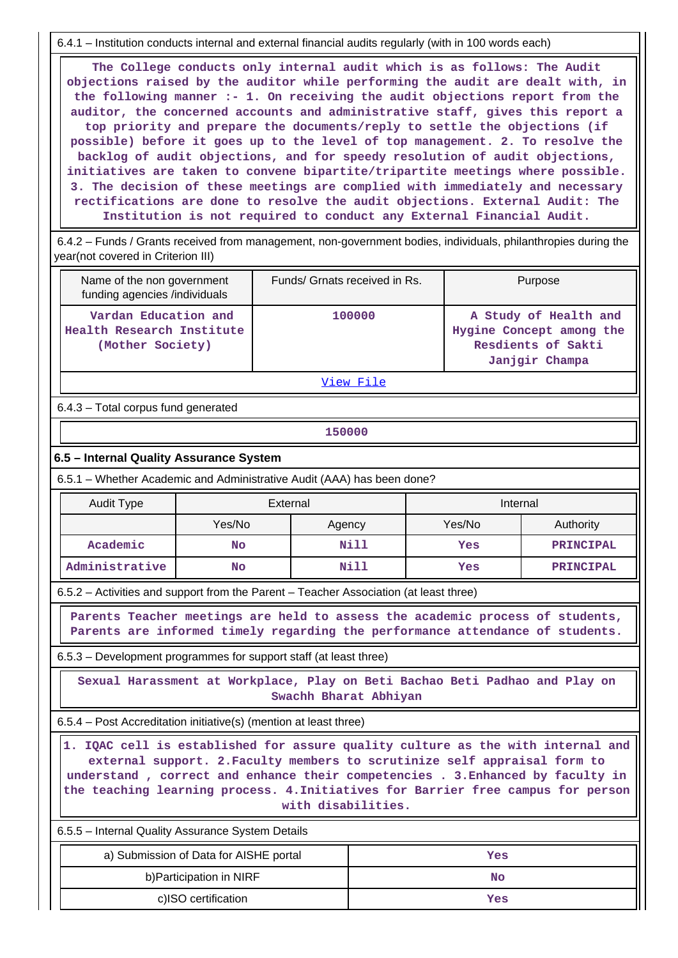6.4.1 – Institution conducts internal and external financial audits regularly (with in 100 words each)

 **The College conducts only internal audit which is as follows: The Audit objections raised by the auditor while performing the audit are dealt with, in the following manner :- 1. On receiving the audit objections report from the auditor, the concerned accounts and administrative staff, gives this report a top priority and prepare the documents/reply to settle the objections (if possible) before it goes up to the level of top management. 2. To resolve the backlog of audit objections, and for speedy resolution of audit objections, initiatives are taken to convene bipartite/tripartite meetings where possible. 3. The decision of these meetings are complied with immediately and necessary rectifications are done to resolve the audit objections. External Audit: The Institution is not required to conduct any External Financial Audit.**

 6.4.2 – Funds / Grants received from management, non-government bodies, individuals, philanthropies during the year(not covered in Criterion III)

| Name of the non government<br>funding agencies /individuals                                                     | Funds/ Grnats received in Rs. | Purpose                                                                                   |  |  |
|-----------------------------------------------------------------------------------------------------------------|-------------------------------|-------------------------------------------------------------------------------------------|--|--|
| Vardan Education and<br>Health Research Institute<br>(Mother Society)                                           | 100000                        | A Study of Health and<br>Hygine Concept among the<br>Resdients of Sakti<br>Janjgir Champa |  |  |
| the contract of the contract of the contract of the contract of the contract of the contract of the contract of |                               |                                                                                           |  |  |

View File

6.4.3 – Total corpus fund generated

**150000**

#### **6.5 – Internal Quality Assurance System**

6.5.1 – Whether Academic and Administrative Audit (AAA) has been done?

| <b>Audit Type</b> | External |        | Internal |                  |  |
|-------------------|----------|--------|----------|------------------|--|
|                   | Yes/No   | Agency | Yes/No   | Authority        |  |
| Academic          | No       | Nill   | Yes      | PRINCIPAL        |  |
| Administrative    | No       | Nill   | Yes      | <b>PRINCIPAL</b> |  |

6.5.2 – Activities and support from the Parent – Teacher Association (at least three)

 **Parents Teacher meetings are held to assess the academic process of students, Parents are informed timely regarding the performance attendance of students.**

6.5.3 – Development programmes for support staff (at least three)

 **Sexual Harassment at Workplace, Play on Beti Bachao Beti Padhao and Play on Swachh Bharat Abhiyan**

6.5.4 – Post Accreditation initiative(s) (mention at least three)

 **1. IQAC cell is established for assure quality culture as the with internal and external support. 2.Faculty members to scrutinize self appraisal form to understand , correct and enhance their competencies . 3.Enhanced by faculty in the teaching learning process. 4.Initiatives for Barrier free campus for person with disabilities.**

6.5.5 – Internal Quality Assurance System Details

| a) Submission of Data for AISHE portal | Yes |
|----------------------------------------|-----|
| b) Participation in NIRF               | No  |
| c)ISO certification                    | Yes |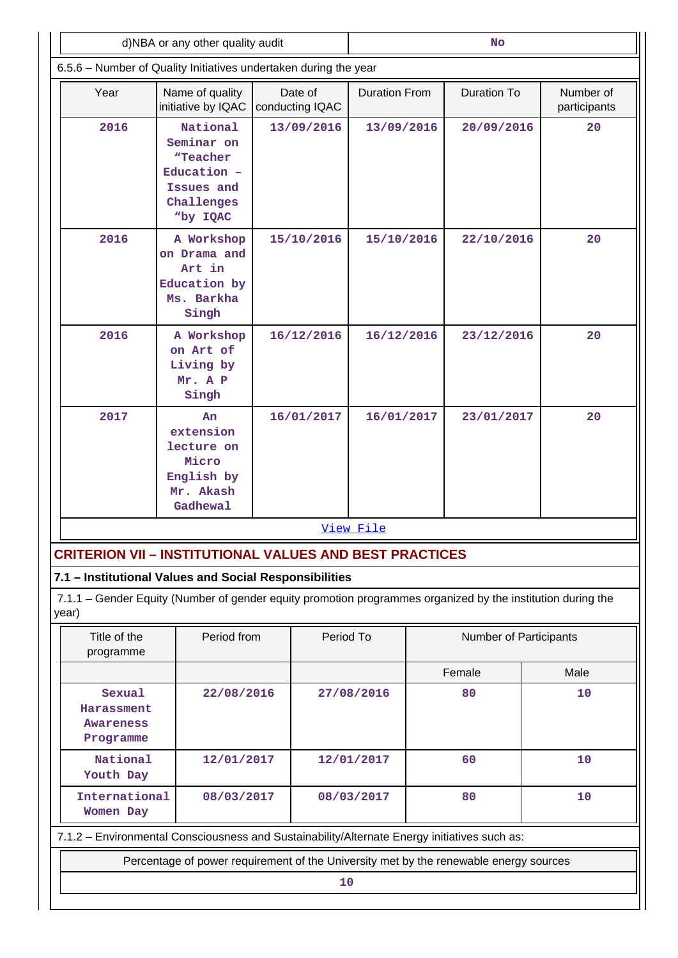| d)NBA or any other quality audit                                                             |                                                                                                             |                            | No                     |                          |                        |                           |  |  |  |
|----------------------------------------------------------------------------------------------|-------------------------------------------------------------------------------------------------------------|----------------------------|------------------------|--------------------------|------------------------|---------------------------|--|--|--|
| 6.5.6 - Number of Quality Initiatives undertaken during the year                             |                                                                                                             |                            |                        |                          |                        |                           |  |  |  |
| Year                                                                                         | Name of quality<br>initiative by IQAC                                                                       | Date of<br>conducting IQAC | <b>Duration From</b>   |                          | Duration To            | Number of<br>participants |  |  |  |
| 2016                                                                                         | National<br>Seminar on<br>"Teacher<br>Education -<br>Issues and<br>Challenges<br>"by IQAC                   | 13/09/2016                 | 13/09/2016             |                          | 20/09/2016             | 20                        |  |  |  |
| 2016                                                                                         | A Workshop<br>on Drama and<br>Art in<br>Education by<br>Ms. Barkha<br>Singh                                 | 15/10/2016                 | 15/10/2016             |                          | 22/10/2016             | 20                        |  |  |  |
| 2016                                                                                         | A Workshop<br>on Art of<br>Living by<br>Mr. A P<br>Singh                                                    | 16/12/2016                 |                        | 16/12/2016<br>23/12/2016 |                        | 20                        |  |  |  |
| 2017                                                                                         | An<br>extension<br>lecture on<br>Micro<br>English by<br>Mr. Akash<br>Gadhewal                               | 16/01/2017                 | 16/01/2017             |                          | 23/01/2017             | 20                        |  |  |  |
|                                                                                              |                                                                                                             |                            | View File              |                          |                        |                           |  |  |  |
|                                                                                              | <b>CRITERION VII - INSTITUTIONAL VALUES AND BEST PRACTICES</b>                                              |                            |                        |                          |                        |                           |  |  |  |
|                                                                                              | 7.1 - Institutional Values and Social Responsibilities                                                      |                            |                        |                          |                        |                           |  |  |  |
| year)                                                                                        | 7.1.1 - Gender Equity (Number of gender equity promotion programmes organized by the institution during the |                            |                        |                          |                        |                           |  |  |  |
| Title of the<br>programme                                                                    | Period from                                                                                                 |                            | Period To              |                          | Number of Participants |                           |  |  |  |
|                                                                                              |                                                                                                             |                            |                        |                          | Female                 | Male                      |  |  |  |
| Sexual                                                                                       | 22/08/2016<br>Harassment<br>Awareness<br>Programme                                                          |                            | 27/08/2016             |                          | 80                     | 10                        |  |  |  |
| National<br>Youth Day                                                                        | 12/01/2017                                                                                                  |                            | 12/01/2017             |                          | 60                     | 10                        |  |  |  |
| Women Day                                                                                    | International<br>08/03/2017                                                                                 |                            | 80<br>10<br>08/03/2017 |                          |                        |                           |  |  |  |
| 7.1.2 - Environmental Consciousness and Sustainability/Alternate Energy initiatives such as: |                                                                                                             |                            |                        |                          |                        |                           |  |  |  |
| Percentage of power requirement of the University met by the renewable energy sources        |                                                                                                             |                            |                        |                          |                        |                           |  |  |  |
| 10                                                                                           |                                                                                                             |                            |                        |                          |                        |                           |  |  |  |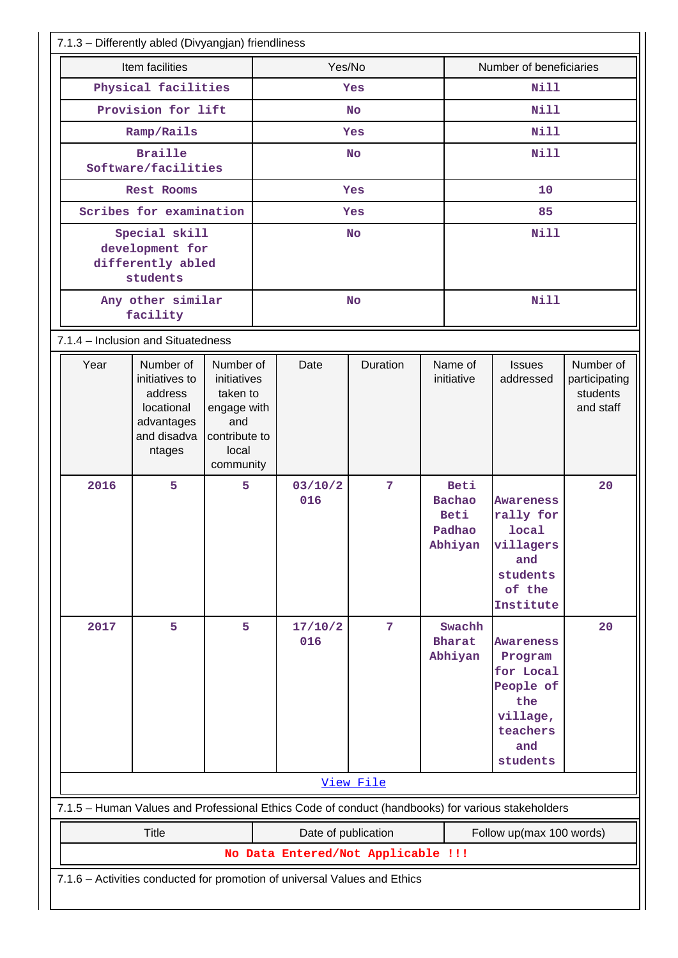| 7.1.3 - Differently abled (Divyangjan) friendliness                                               |                                                                                             |                                                                                                   |           |                |           |                         |                                                    |                                                                                                         |                                                     |
|---------------------------------------------------------------------------------------------------|---------------------------------------------------------------------------------------------|---------------------------------------------------------------------------------------------------|-----------|----------------|-----------|-------------------------|----------------------------------------------------|---------------------------------------------------------------------------------------------------------|-----------------------------------------------------|
| Item facilities                                                                                   |                                                                                             |                                                                                                   | Yes/No    |                |           | Number of beneficiaries |                                                    |                                                                                                         |                                                     |
| Physical facilities                                                                               |                                                                                             |                                                                                                   | Yes       |                |           | <b>Nill</b>             |                                                    |                                                                                                         |                                                     |
| Provision for lift                                                                                |                                                                                             |                                                                                                   |           |                | <b>No</b> |                         | <b>Nill</b>                                        |                                                                                                         |                                                     |
|                                                                                                   | Ramp/Rails                                                                                  |                                                                                                   |           |                | Yes       |                         | <b>Nill</b>                                        |                                                                                                         |                                                     |
|                                                                                                   | <b>Braille</b><br>Software/facilities                                                       |                                                                                                   | <b>No</b> |                |           | <b>Nill</b>             |                                                    |                                                                                                         |                                                     |
|                                                                                                   | Rest Rooms                                                                                  |                                                                                                   | Yes       |                |           | 10                      |                                                    |                                                                                                         |                                                     |
|                                                                                                   | Scribes for examination                                                                     |                                                                                                   |           | Yes            |           |                         | 85                                                 |                                                                                                         |                                                     |
| Special skill<br>development for<br>differently abled<br>students                                 |                                                                                             | <b>No</b>                                                                                         |           |                | Nill      |                         |                                                    |                                                                                                         |                                                     |
|                                                                                                   | Any other similar<br>facility                                                               |                                                                                                   |           | <b>No</b>      |           |                         | <b>Nill</b>                                        |                                                                                                         |                                                     |
| 7.1.4 - Inclusion and Situatedness                                                                |                                                                                             |                                                                                                   |           |                |           |                         |                                                    |                                                                                                         |                                                     |
| Year                                                                                              | Number of<br>initiatives to<br>address<br>locational<br>advantages<br>and disadva<br>ntages | Number of<br>initiatives<br>taken to<br>engage with<br>and<br>contribute to<br>local<br>community |           | Date           | Duration  |                         | Name of<br>initiative                              | <b>Issues</b><br>addressed                                                                              | Number of<br>participating<br>students<br>and staff |
| 2016                                                                                              | 5                                                                                           | 5                                                                                                 |           | 03/10/2<br>016 | 7         |                         | Beti<br><b>Bachao</b><br>Beti<br>Padhao<br>Abhiyan | <b>Awareness</b><br>rally for<br>local<br>villagers<br>and<br>students<br>of the<br>Institute           | 20                                                  |
| 2017                                                                                              | 5                                                                                           | 5                                                                                                 |           | 17/10/2<br>016 | 7         |                         | Swachh<br><b>Bharat</b><br>Abhiyan                 | <b>Awareness</b><br>Program<br>for Local<br>People of<br>the<br>village,<br>teachers<br>and<br>students | 20                                                  |
| View File                                                                                         |                                                                                             |                                                                                                   |           |                |           |                         |                                                    |                                                                                                         |                                                     |
| 7.1.5 - Human Values and Professional Ethics Code of conduct (handbooks) for various stakeholders |                                                                                             |                                                                                                   |           |                |           |                         |                                                    |                                                                                                         |                                                     |
| <b>Title</b><br>Date of publication<br>Follow up(max 100 words)                                   |                                                                                             |                                                                                                   |           |                |           |                         |                                                    |                                                                                                         |                                                     |
| No Data Entered/Not Applicable !!!                                                                |                                                                                             |                                                                                                   |           |                |           |                         |                                                    |                                                                                                         |                                                     |
|                                                                                                   |                                                                                             |                                                                                                   |           |                |           |                         |                                                    |                                                                                                         |                                                     |
| 7.1.6 - Activities conducted for promotion of universal Values and Ethics                         |                                                                                             |                                                                                                   |           |                |           |                         |                                                    |                                                                                                         |                                                     |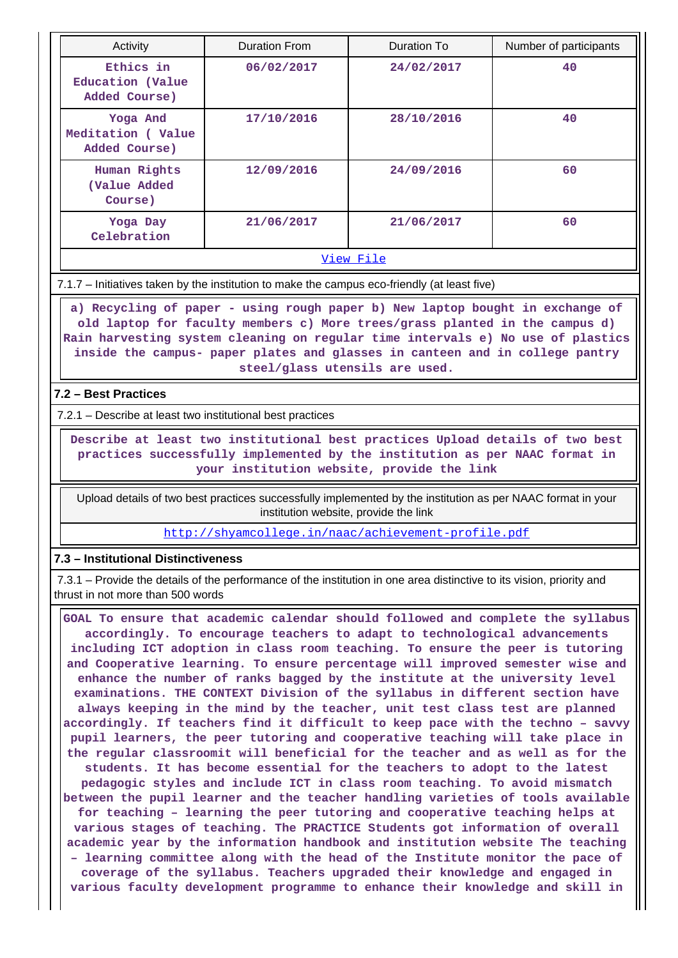| Activity                                       | <b>Duration From</b> | Duration To | Number of participants |
|------------------------------------------------|----------------------|-------------|------------------------|
| Ethics in<br>Education (Value<br>Added Course) | 06/02/2017           | 24/02/2017  | 40                     |
| Yoga And<br>Meditation (Value<br>Added Course) | 17/10/2016           | 28/10/2016  | 40                     |
| Human Rights<br>(Value Added<br>Course)        | 12/09/2016           | 24/09/2016  | 60                     |
| Yoga Day<br>Celebration                        | 21/06/2017           | 21/06/2017  | 60                     |

View File

7.1.7 – Initiatives taken by the institution to make the campus eco-friendly (at least five)

 **a) Recycling of paper - using rough paper b) New laptop bought in exchange of old laptop for faculty members c) More trees/grass planted in the campus d) Rain harvesting system cleaning on regular time intervals e) No use of plastics inside the campus- paper plates and glasses in canteen and in college pantry steel/glass utensils are used.**

## **7.2 – Best Practices**

7.2.1 – Describe at least two institutional best practices

 **Describe at least two institutional best practices Upload details of two best practices successfully implemented by the institution as per NAAC format in your institution website, provide the link**

 Upload details of two best practices successfully implemented by the institution as per NAAC format in your institution website, provide the link

http://shyamcollege.in/naac/achievement-profile.pdf

## **7.3 – Institutional Distinctiveness**

 7.3.1 – Provide the details of the performance of the institution in one area distinctive to its vision, priority and thrust in not more than 500 words

 **GOAL To ensure that academic calendar should followed and complete the syllabus accordingly. To encourage teachers to adapt to technological advancements including ICT adoption in class room teaching. To ensure the peer is tutoring and Cooperative learning. To ensure percentage will improved semester wise and enhance the number of ranks bagged by the institute at the university level examinations. THE CONTEXT Division of the syllabus in different section have always keeping in the mind by the teacher, unit test class test are planned accordingly. If teachers find it difficult to keep pace with the techno – savvy pupil learners, the peer tutoring and cooperative teaching will take place in the regular classroomit will beneficial for the teacher and as well as for the students. It has become essential for the teachers to adopt to the latest pedagogic styles and include ICT in class room teaching. To avoid mismatch between the pupil learner and the teacher handling varieties of tools available for teaching – learning the peer tutoring and cooperative teaching helps at various stages of teaching. The PRACTICE Students got information of overall academic year by the information handbook and institution website The teaching – learning committee along with the head of the Institute monitor the pace of coverage of the syllabus. Teachers upgraded their knowledge and engaged in various faculty development programme to enhance their knowledge and skill in**